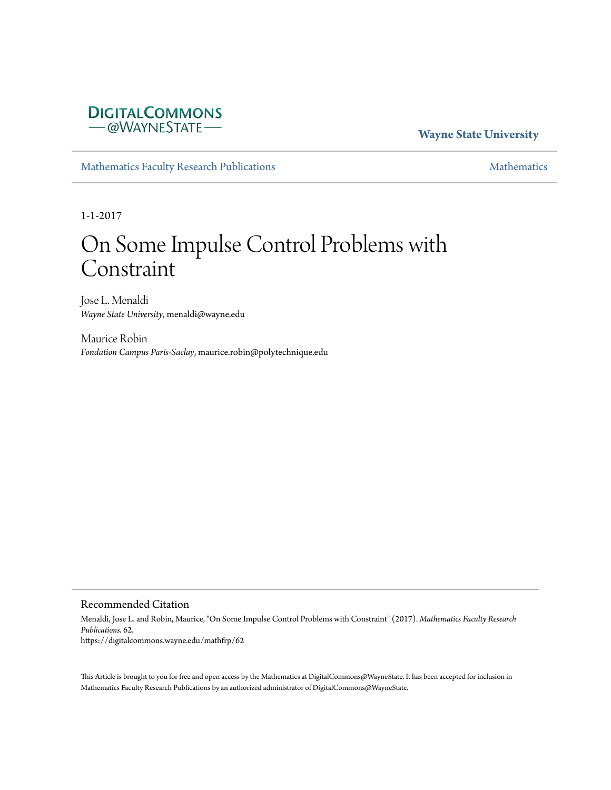# **DIGITALCOMMONS** -@WAYNESTATE-

## **Wayne State University**

[Mathematics Faculty Research Publications](https://digitalcommons.wayne.edu/mathfrp) **[Mathematics](https://digitalcommons.wayne.edu/math)** Mathematics

1-1-2017

# On Some Impulse Control Problems with Constraint

Jose L. Menaldi *Wayne State University*, menaldi@wayne.edu

Maurice Robin *Fondation Campus Paris-Saclay*, maurice.robin@polytechnique.edu

## Recommended Citation

Menaldi, Jose L. and Robin, Maurice, "On Some Impulse Control Problems with Constraint" (2017). *Mathematics Faculty Research Publications*. 62. https://digitalcommons.wayne.edu/mathfrp/62

This Article is brought to you for free and open access by the Mathematics at DigitalCommons@WayneState. It has been accepted for inclusion in Mathematics Faculty Research Publications by an authorized administrator of DigitalCommons@WayneState.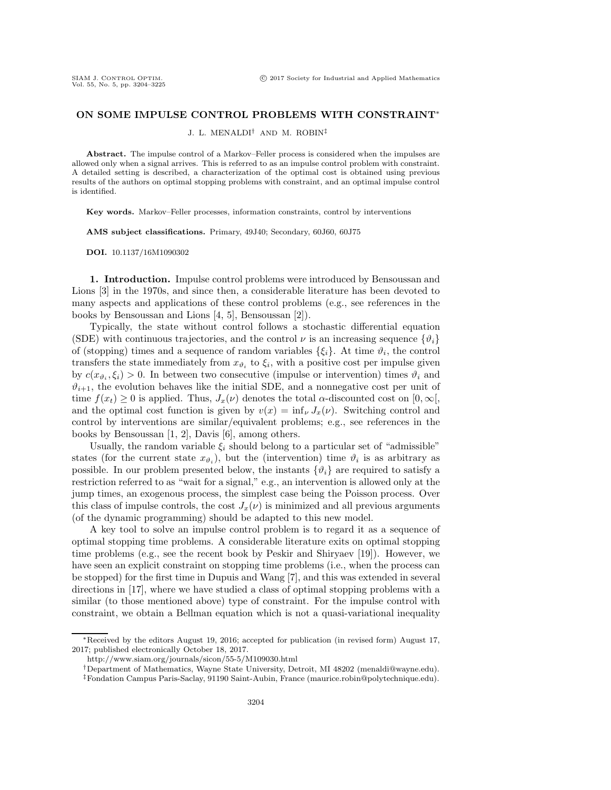### **ON SOME IMPULSE CONTROL PROBLEMS WITH CONSTRAINT**<sup>∗</sup>

J. L. MENALDI† AND M. ROBIN‡

**Abstract.** The impulse control of a Markov–Feller process is considered when the impulses are allowed only when a signal arrives. This is referred to as an impulse control problem with constraint. A detailed setting is described, a characterization of the optimal cost is obtained using previous results of the authors on optimal stopping problems with constraint, and an optimal impulse control is identified.

**Key words.** Markov–Feller processes, information constraints, control by interventions

**AMS subject classifications.** Primary, 49J40; Secondary, 60J60, 60J75

**DOI.** 10.1137/16M1090302

**1. Introduction.** Impulse control problems were introduced by Bensoussan and Lions [\[3\]](#page-22-0) in the 1970s, and since then, a considerable literature has been devoted to many aspects and applications of these control problems (e.g., see references in the books by Bensoussan and Lions [\[4,](#page-22-1) [5\]](#page-22-2), Bensoussan [\[2\]](#page-22-3)).

Typically, the state without control follows a stochastic differential equation (SDE) with continuous trajectories, and the control  $\nu$  is an increasing sequence  $\{\vartheta_i\}$ of (stopping) times and a sequence of random variables  $\{\xi_i\}$ . At time  $\vartheta_i$ , the control transfers the state immediately from  $x_{\vartheta_i}$  to  $\xi_i$ , with a positive cost per impulse given by  $c(x_{\vartheta_i}, \xi_i) > 0$ . In between two consecutive (impulse or intervention) times  $\vartheta_i$  and  $\vartheta_{i+1}$ , the evolution behaves like the initial SDE, and a nonnegative cost per unit of time  $f(x_t) \geq 0$  is applied. Thus,  $J_x(\nu)$  denotes the total  $\alpha$ -discounted cost on  $[0,\infty)$ , and the optimal cost function is given by  $v(x) = \inf_{\nu} J_x(\nu)$ . Switching control and control by interventions are similar/equivalent problems; e.g., see references in the books by Bensoussan [\[1,](#page-22-4) [2\]](#page-22-3), Davis [\[6\]](#page-22-5), among others.

Usually, the random variable  $\xi_i$  should belong to a particular set of "admissible" states (for the current state  $x_{\vartheta_i}$ ), but the (intervention) time  $\vartheta_i$  is as arbitrary as possible. In our problem presented below, the instants  $\{\vartheta_i\}$  are required to satisfy a restriction referred to as "wait for a signal," e.g., an intervention is allowed only at the jump times, an exogenous process, the simplest case being the Poisson process. Over this class of impulse controls, the cost  $J_x(\nu)$  is minimized and all previous arguments (of the dynamic programming) should be adapted to this new model.

A key tool to solve an impulse control problem is to regard it as a sequence of optimal stopping time problems. A considerable literature exits on optimal stopping time problems (e.g., see the recent book by Peskir and Shiryaev [\[19\]](#page-22-6)). However, we have seen an explicit constraint on stopping time problems (i.e., when the process can be stopped) for the first time in Dupuis and Wang [\[7\]](#page-22-7), and this was extended in several directions in [\[17\]](#page-22-8), where we have studied a class of optimal stopping problems with a similar (to those mentioned above) type of constraint. For the impulse control with constraint, we obtain a Bellman equation which is not a quasi-variational inequality

<sup>∗</sup>Received by the editors August 19, 2016; accepted for publication (in revised form) August 17, 2017; published electronically October 18, 2017.

<http://www.siam.org/journals/sicon/55-5/M109030.html>

<sup>†</sup>Department of Mathematics, Wayne State University, Detroit, MI 48202 [\(menaldi@wayne.edu\)](mailto:menaldi@wayne.edu).

<sup>‡</sup>Fondation Campus Paris-Saclay, 91190 Saint-Aubin, France [\(maurice.robin@polytechnique.edu\)](mailto:maurice.robin@polytechnique.edu).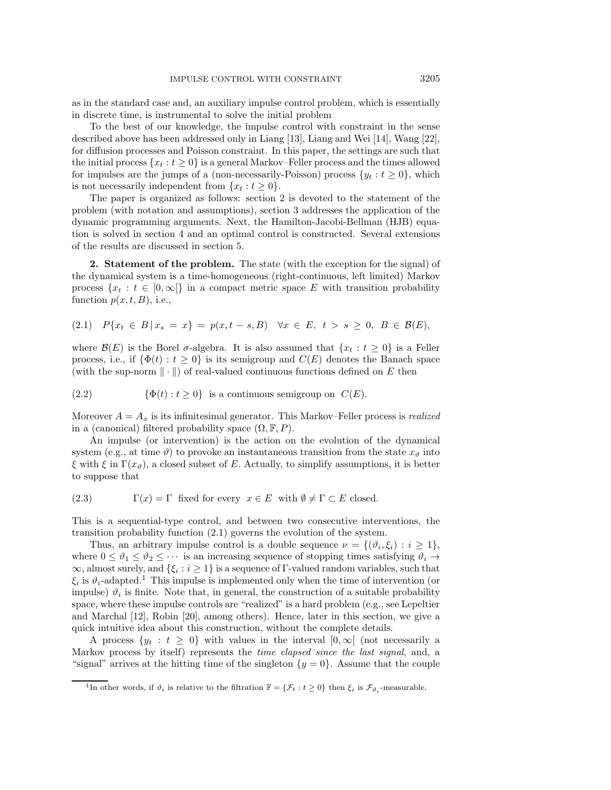as in the standard case and, an auxiliary impulse control problem, which is essentially in discrete time, is instrumental to solve the initial problem

To the best of our knowledge, the impulse control with constraint in the sense described above has been addressed only in Liang [\[13\]](#page-22-9), Liang and Wei [\[14\]](#page-22-10), Wang [\[22\]](#page-22-11), for diffusion processes and Poisson constraint. In this paper, the settings are such that the initial process  $\{x_t : t \geq 0\}$  is a general Markov–Feller process and the times allowed for impulses are the jumps of a (non-necessarily-Poisson) process  $\{y_t : t \geq 0\}$ , which is not necessarily independent from  $\{x_t : t \geq 0\}.$ 

The paper is organized as follows: section [2](#page-2-0) is devoted to the statement of the problem (with notation and assumptions), section [3](#page-7-0) addresses the application of the dynamic programming arguments. Next, the Hamilton-Jacobi-Bellman (HJB) equation is solved in section [4](#page-13-0) and an optimal control is constructed. Several extensions of the results are discussed in section [5.](#page-20-0)

<span id="page-2-0"></span>**2. Statement of the problem.** The state (with the exception for the signal) of the dynamical system is a time-homogeneous (right-continuous, left limited) Markov process  $\{x_t : t \in [0,\infty[\}]$  in a compact metric space E with transition probability function  $p(x, t, B)$ , i.e.,

<span id="page-2-1"></span>
$$
(2.1) \quad P\{x_t \in B \,|\, x_s = x\} = p(x, t - s, B) \quad \forall x \in E, \ t > s \ge 0, \ B \in \mathcal{B}(E),
$$

where  $\mathcal{B}(E)$  is the Borel  $\sigma$ -algebra. It is also assumed that  $\{x_t : t \geq 0\}$  is a Feller process, i.e., if  $\{\Phi(t): t \geq 0\}$  is its semigroup and  $C(E)$  denotes the Banach space (with the sup-norm  $\|\cdot\|$ ) of real-valued continuous functions defined on E then

<span id="page-2-3"></span>(2.2) 
$$
\{\Phi(t) : t \ge 0\}
$$
 is a continuous semigroup on  $C(E)$ .

Moreover  $A = A_x$  is its infinitesimal generator. This Markov–Feller process is *realized* in a (canonical) filtered probability space  $(\Omega, \mathbb{F}, P)$ .

An impulse (or intervention) is the action on the evolution of the dynamical system (e.g., at time  $\vartheta$ ) to provoke an instantaneous transition from the state  $x_{\vartheta}$  into ξ with ξ in Γ(x<sub>θ</sub>), a closed subset of E. Actually, to simplify assumptions, it is better to suppose that

(2.3) 
$$
\Gamma(x) = \Gamma \text{ fixed for every } x \in E \text{ with } \emptyset \neq \Gamma \subset E \text{ closed.}
$$

This is a sequential-type control, and between two consecutive interventions, the transition probability function [\(2.1\)](#page-2-1) governs the evolution of the system.

Thus, an arbitrary impulse control is a double sequence  $\nu = \{(\vartheta_i, \xi_i) : i \geq 1\},\$ where  $0 \le \vartheta_1 \le \vartheta_2 \le \cdots$  is an increasing sequence of stopping times satisfying  $\vartheta_i \to$  $\infty$ , almost surely, and  $\{\xi_i : i \geq 1\}$  is a sequence of Γ-valued random variables, such that  $\xi_i$  is  $\vartheta_i$ -adapted.<sup>[1](#page-2-2)</sup> This impulse is implemented only when the time of intervention (or impulse)  $\vartheta_i$  is finite. Note that, in general, the construction of a suitable probability space, where these impulse controls are "realized" is a hard problem (e.g., see Lepeltier and Marchal [\[12\]](#page-22-12), Robin [\[20\]](#page-22-13), among others). Hence, later in this section, we give a quick intuitive idea about this construction, without the complete details.

A process  $\{y_t : t \geq 0\}$  with values in the interval  $[0, \infty)$  (not necessarily a Markov process by itself) represents the *time elapsed since the last signal*, and, a "signal" arrives at the hitting time of the singleton  $\{y = 0\}$ . Assume that the couple

<span id="page-2-2"></span><sup>&</sup>lt;sup>1</sup>In other words, if  $\vartheta_i$  is relative to the filtration  $\mathbb{F} = {\mathcal{F}_t : t \geq 0}$  then  $\xi_i$  is  $\mathcal{F}_{\vartheta_i}$ -measurable.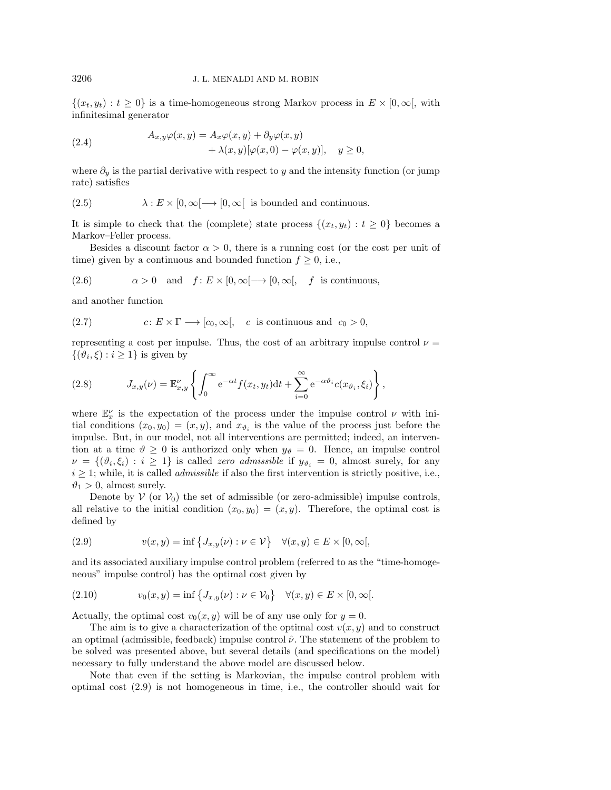$\{(x_t, y_t): t \geq 0\}$  is a time-homogeneous strong Markov process in  $E \times [0, \infty],$  with infinitesimal generator

<span id="page-3-3"></span>(2.4) 
$$
A_{x,y}\varphi(x,y) = A_x\varphi(x,y) + \partial_y\varphi(x,y) + \lambda(x,y)[\varphi(x,0) - \varphi(x,y)], \quad y \ge 0,
$$

where  $\partial_y$  is the partial derivative with respect to y and the intensity function (or jump rate) satisfies

<span id="page-3-2"></span>(2.5) 
$$
\lambda: E \times [0, \infty[ \longrightarrow [0, \infty[ \text{ is bounded and continuous.}
$$

It is simple to check that the (complete) state process  $\{(x_t, y_t) : t \geq 0\}$  becomes a Markov–Feller process.

Besides a discount factor  $\alpha > 0$ , there is a running cost (or the cost per unit of time) given by a continuous and bounded function  $f \geq 0$ , i.e.,

<span id="page-3-4"></span>(2.6) 
$$
\alpha > 0
$$
 and  $f: E \times [0, \infty[ \longrightarrow [0, \infty[$ , f is continuous,

and another function

<span id="page-3-5"></span>(2.7) 
$$
c: E \times \Gamma \longrightarrow [c_0, \infty[, \quad c \text{ is continuous and } c_0 > 0,
$$

representing a cost per impulse. Thus, the cost of an arbitrary impulse control  $\nu =$  $\{(\vartheta_i, \xi) : i \geq 1\}$  is given by

(2.8) 
$$
J_{x,y}(\nu) = \mathbb{E}_{x,y}^{\nu} \left\{ \int_0^{\infty} e^{-\alpha t} f(x_t, y_t) dt + \sum_{i=0}^{\infty} e^{-\alpha \vartheta_i} c(x_{\vartheta_i}, \xi_i) \right\},
$$

where  $\mathbb{E}_{x}^{\nu}$  is the expectation of the process under the impulse control  $\nu$  with initial conditions  $(x_0, y_0)=(x, y)$ , and  $x_{\vartheta_i}$  is the value of the process just before the impulse. But, in our model, not all interventions are permitted; indeed, an intervention at a time  $\vartheta \geq 0$  is authorized only when  $y_{\vartheta} = 0$ . Hence, an impulse control  $\nu = \{(\vartheta_i, \xi_i) : i \geq 1\}$  is called *zero admissible* if  $y_{\vartheta_i} = 0$ , almost surely, for any  $i \geq 1$ ; while, it is called *admissible* if also the first intervention is strictly positive, i.e.,  $\vartheta_1 > 0$ , almost surely.

Denote by  $V$  (or  $V_0$ ) the set of admissible (or zero-admissible) impulse controls, all relative to the initial condition  $(x_0, y_0)=(x, y)$ . Therefore, the optimal cost is defined by

<span id="page-3-0"></span>(2.9) 
$$
v(x,y) = \inf \{ J_{x,y}(\nu) : \nu \in \mathcal{V} \} \quad \forall (x,y) \in E \times [0,\infty[,
$$

and its associated auxiliary impulse control problem (referred to as the "time-homogeneous" impulse control) has the optimal cost given by

<span id="page-3-1"></span>(2.10) 
$$
v_0(x, y) = \inf \{ J_{x,y}(\nu) : \nu \in \mathcal{V}_0 \} \quad \forall (x, y) \in E \times [0, \infty[.
$$

Actually, the optimal cost  $v_0(x, y)$  will be of any use only for  $y = 0$ .

The aim is to give a characterization of the optimal cost  $v(x, y)$  and to construct an optimal (admissible, feedback) impulse control  $\hat{\nu}$ . The statement of the problem to be solved was presented above, but several details (and specifications on the model) necessary to fully understand the above model are discussed below.

Note that even if the setting is Markovian, the impulse control problem with optimal cost [\(2.9\)](#page-3-0) is not homogeneous in time, i.e., the controller should wait for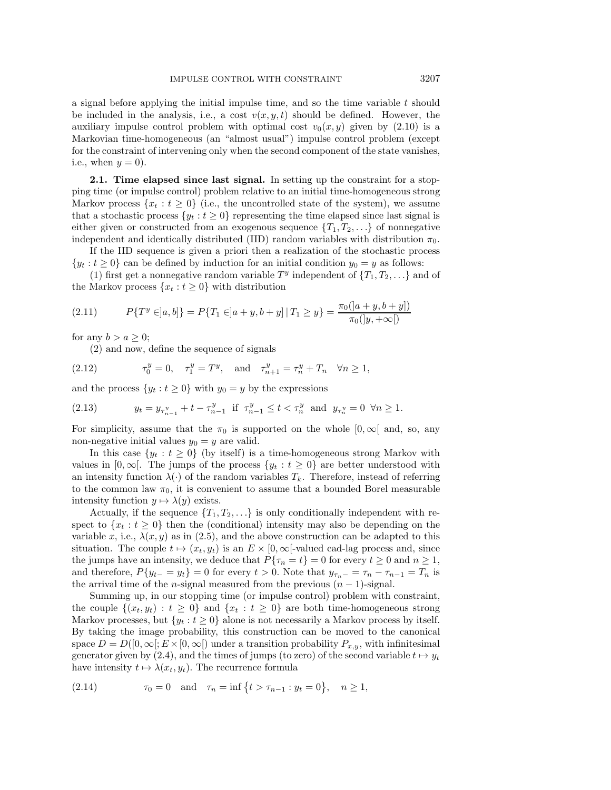a signal before applying the initial impulse time, and so the time variable  $t$  should be included in the analysis, i.e., a cost  $v(x, y, t)$  should be defined. However, the auxiliary impulse control problem with optimal cost  $v_0(x, y)$  given by [\(2.10\)](#page-3-1) is a Markovian time-homogeneous (an "almost usual") impulse control problem (except for the constraint of intervening only when the second component of the state vanishes, i.e., when  $y = 0$ ).

**2.1. Time elapsed since last signal.** In setting up the constraint for a stopping time (or impulse control) problem relative to an initial time-homogeneous strong Markov process  $\{x_t : t \geq 0\}$  (i.e., the uncontrolled state of the system), we assume that a stochastic process  $\{y_t : t \geq 0\}$  representing the time elapsed since last signal is either given or constructed from an exogenous sequence  $\{T_1, T_2, \ldots\}$  of nonnegative independent and identically distributed (IID) random variables with distribution  $\pi_0$ .

If the IID sequence is given a priori then a realization of the stochastic process  $\{y_t : t \geq 0\}$  can be defined by induction for an initial condition  $y_0 = y$  as follows:

(1) first get a nonnegative random variable  $T<sup>y</sup>$  independent of  $\{T_1, T_2, \ldots\}$  and of the Markov process  $\{x_t : t \geq 0\}$  with distribution

(2.11) 
$$
P\{T^y \in ]a, b]\} = P\{T_1 \in ]a+y, b+y] | T_1 \ge y\} = \frac{\pi_0([a+y, b+y])}{\pi_0([y, +\infty[)}
$$

for any  $b>a\geq 0$ ;

(2) and now, define the sequence of signals

(2.12) 
$$
\tau_0^y = 0
$$
,  $\tau_1^y = T^y$ , and  $\tau_{n+1}^y = \tau_n^y + T_n \quad \forall n \ge 1$ ,

and the process  $\{y_t : t \geq 0\}$  with  $y_0 = y$  by the expressions

(2.13) 
$$
y_t = y_{\tau_{n-1}^y} + t - \tau_{n-1}^y \text{ if } \tau_{n-1}^y \le t < \tau_n^y \text{ and } y_{\tau_n^y} = 0 \ \forall n \ge 1.
$$

For simplicity, assume that the  $\pi_0$  is supported on the whole  $[0, \infty)$  and, so, any non-negative initial values  $y_0 = y$  are valid.

In this case  $\{y_t : t \geq 0\}$  (by itself) is a time-homogeneous strong Markov with values in [0,  $\infty$ [. The jumps of the process  $\{y_t : t \geq 0\}$  are better understood with an intensity function  $\lambda(\cdot)$  of the random variables  $T_k$ . Therefore, instead of referring to the common law  $\pi_0$ , it is convenient to assume that a bounded Borel measurable intensity function  $y \mapsto \lambda(y)$  exists.

Actually, if the sequence  $\{T_1, T_2, \ldots\}$  is only conditionally independent with respect to  ${x_t : t \geq 0}$  then the (conditional) intensity may also be depending on the variable x, i.e.,  $\lambda(x, y)$  as in [\(2.5\)](#page-3-2), and the above construction can be adapted to this situation. The couple  $t \mapsto (x_t, y_t)$  is an  $E \times [0, \infty]$ -valued cad-lag process and, since the jumps have an intensity, we deduce that  $P\{\tau_n = t\} = 0$  for every  $t \geq 0$  and  $n \geq 1$ , and therefore,  $P\{y_{t-} = y_t\} = 0$  for every  $t > 0$ . Note that  $y_{\tau_n-} = \tau_n - \tau_{n-1} = T_n$  is the arrival time of the n-signal measured from the previous  $(n-1)$ -signal.

Summing up, in our stopping time (or impulse control) problem with constraint, the couple  $\{(x_t, y_t): t \geq 0\}$  and  $\{x_t : t \geq 0\}$  are both time-homogeneous strong Markov processes, but  $\{y_t : t \geq 0\}$  alone is not necessarily a Markov process by itself. By taking the image probability, this construction can be moved to the canonical space  $D = D([0, \infty]; E \times [0, \infty])$  under a transition probability  $P_{x,y}$ , with infinitesimal generator given by [\(2.4\)](#page-3-3), and the times of jumps (to zero) of the second variable  $t \mapsto y_t$ have intensity  $t \mapsto \lambda(x_t, y_t)$ . The recurrence formula

<span id="page-4-0"></span>(2.14) 
$$
\tau_0 = 0
$$
 and  $\tau_n = \inf \{ t > \tau_{n-1} : y_t = 0 \}, \quad n \ge 1,$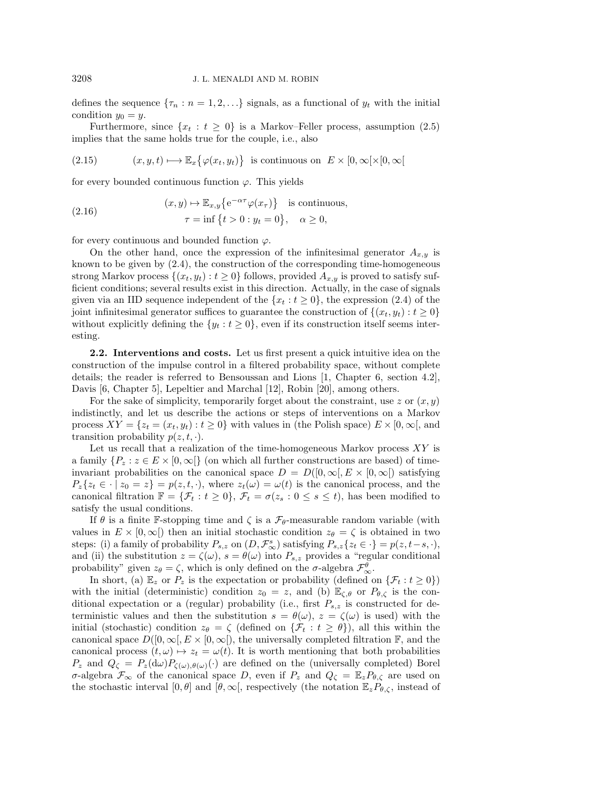defines the sequence  $\{\tau_n : n = 1, 2, \ldots\}$  signals, as a functional of  $y_t$  with the initial condition  $y_0 = y$ .

Furthermore, since  $\{x_t : t \geq 0\}$  is a Markov–Feller process, assumption [\(2.5\)](#page-3-2) implies that the same holds true for the couple, i.e., also

(2.15) 
$$
(x, y, t) \mapsto \mathbb{E}_x \{ \varphi(x_t, y_t) \}
$$
 is continuous on  $E \times [0, \infty) \times [0, \infty)$ 

for every bounded continuous function  $\varphi$ . This yields

<span id="page-5-0"></span>(2.16) 
$$
(x, y) \mapsto \mathbb{E}_{x,y}\left\{e^{-\alpha \tau}\varphi(x_{\tau})\right\} \text{ is continuous,}
$$

$$
\tau = \inf\left\{t > 0 : y_t = 0\right\}, \quad \alpha \ge 0,
$$

for every continuous and bounded function  $\varphi$ .

On the other hand, once the expression of the infinitesimal generator  $A_{x,y}$  is known to be given by [\(2.4\)](#page-3-3), the construction of the corresponding time-homogeneous strong Markov process  $\{(x_t, y_t) : t \geq 0\}$  follows, provided  $A_{x,y}$  is proved to satisfy sufficient conditions; several results exist in this direction. Actually, in the case of signals given via an IID sequence independent of the  ${x_t : t \ge 0}$ , the expression [\(2.4\)](#page-3-3) of the joint infinitesimal generator suffices to guarantee the construction of  $\{(x_t, y_t): t \geq 0\}$ without explicitly defining the  $\{y_t : t \geq 0\}$ , even if its construction itself seems interesting.

<span id="page-5-1"></span>**2.2. Interventions and costs.** Let us first present a quick intuitive idea on the construction of the impulse control in a filtered probability space, without complete details; the reader is referred to Bensoussan and Lions [\[1,](#page-22-4) Chapter 6, section 4.2], Davis [\[6,](#page-22-5) Chapter 5], Lepeltier and Marchal [\[12\]](#page-22-12), Robin [\[20\]](#page-22-13), among others.

For the sake of simplicity, temporarily forget about the constraint, use z or  $(x, y)$ indistinctly, and let us describe the actions or steps of interventions on a Markov process  $XY = \{z_t = (x_t, y_t) : t \geq 0\}$  with values in (the Polish space)  $E \times [0, \infty)$ , and transition probability  $p(z, t, \cdot)$ .

Let us recall that a realization of the time-homogeneous Markov process  $XY$  is a family  $\{P_z : z \in E \times [0, \infty] \}$  (on which all further constructions are based) of timeinvariant probabilities on the canonical space  $D = D([0,\infty[, E \times [0,\infty[)$  satisfying  $P_z\{z_t \in \cdot \mid z_0 = z\} = p(z, t, \cdot)$ , where  $z_t(\omega) = \omega(t)$  is the canonical process, and the canonical filtration  $\mathbb{F} = {\mathcal{F}_t : t \geq 0}, \mathcal{F}_t = \sigma(z_s : 0 \leq s \leq t)$ , has been modified to satisfy the usual conditions.

If  $\theta$  is a finite F-stopping time and  $\zeta$  is a  $\mathcal{F}_{\theta}$ -measurable random variable (with values in  $E \times [0, \infty)$  then an initial stochastic condition  $z_{\theta} = \zeta$  is obtained in two steps: (i) a family of probability  $P_{s,z}$  on  $(D, \mathcal{F}_{\infty}^s)$  satisfying  $P_{s,z}\{z_t \in \cdot\} = p(z, t-s, \cdot)$ , and (ii) the substitution  $z = \zeta(\omega)$ ,  $s = \theta(\omega)$  into  $P_{s,z}$  provides a "regular conditional probability" given  $z_{\theta} = \zeta$ , which is only defined on the  $\sigma$ -algebra  $\mathcal{F}_{\infty}^{\theta}$ .

In short, (a)  $\mathbb{E}_z$  or  $P_z$  is the expectation or probability (defined on  $\{\mathcal{F}_t : t \geq 0\}$ ) with the initial (deterministic) condition  $z_0 = z$ , and (b)  $\mathbb{E}_{\zeta,\theta}$  or  $P_{\theta,\zeta}$  is the conditional expectation or a (regular) probability (i.e., first  $P_{s,z}$  is constructed for deterministic values and then the substitution  $s = \theta(\omega)$ ,  $z = \zeta(\omega)$  is used) with the initial (stochastic) condition  $z_{\theta} = \zeta$  (defined on  $\{\mathcal{F}_t : t \geq \theta\}$ ), all this within the canonical space  $D([0,\infty[, E \times [0,\infty])$ , the universally completed filtration  $\mathbb{F}$ , and the canonical process  $(t, \omega) \mapsto z_t = \omega(t)$ . It is worth mentioning that both probabilities  $P_z$  and  $Q_\zeta = P_z(\mathrm{d}\omega)P_{\zeta(\omega),\theta(\omega)}(\cdot)$  are defined on the (universally completed) Borel σ-algebra  $\mathcal{F}_{\infty}$  of the canonical space D, even if  $P_z$  and  $Q_{\zeta} = \mathbb{E}_z P_{\theta,\zeta}$  are used on the stochastic interval [0,  $\theta$ ] and [ $\theta$ ,  $\infty$ [, respectively (the notation  $\mathbb{E}_z P_{\theta,\zeta}$ , instead of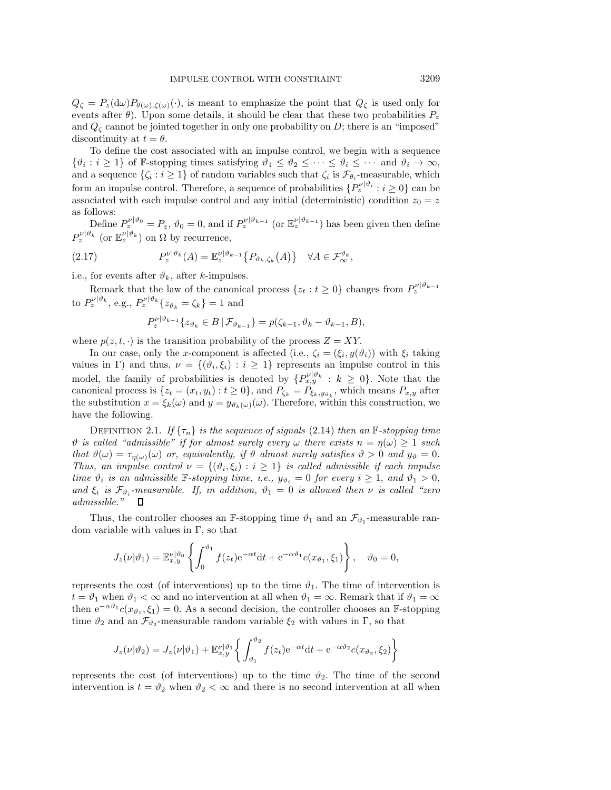$Q_{\zeta} = P_z(\mathrm{d}\omega)P_{\theta(\omega),\zeta(\omega)}(\cdot)$ , is meant to emphasize the point that  $Q_{\zeta}$  is used only for events after  $\theta$ ). Upon some details, it should be clear that these two probabilities  $P_z$ and  $Q_{\zeta}$  cannot be jointed together in only one probability on D; there is an "imposed" discontinuity at  $t = \theta$ .

To define the cost associated with an impulse control, we begin with a sequence  $\{\vartheta_i : i \geq 1\}$  of F-stopping times satisfying  $\vartheta_1 \leq \vartheta_2 \leq \cdots \leq \vartheta_i \leq \cdots$  and  $\vartheta_i \to \infty$ , and a sequence  $\{\zeta_i : i \geq 1\}$  of random variables such that  $\zeta_i$  is  $\mathcal{F}_{\theta_i}$ -measurable, which form an impulse control. Therefore, a sequence of probabilities  $\{P_z^{\nu|\vartheta_i} : i \geq 0\}$  can be associated with each impulse control and any initial (deterministic) condition  $z_0 = z$ as follows:

Define  $P_z^{\nu|\vartheta_0} = P_z$ ,  $\vartheta_0 = 0$ , and if  $P_z^{\nu|\vartheta_{k-1}}$  (or  $\mathbb{E}_z^{\nu|\vartheta_{k-1}}$ ) has been given then define  $P_z^{\nu|\vartheta_k}$  (or  $\mathbb{E}_z^{\nu|\vartheta_k}$ ) on  $\Omega$  by recurrence,

(2.17) 
$$
P_z^{\nu|\vartheta_k}(A) = \mathbb{E}_z^{\nu|\vartheta_{k-1}} \{P_{\vartheta_k,\zeta_k}(A)\} \quad \forall A \in \mathcal{F}_{\infty}^{\vartheta_k},
$$

i.e., for events after  $\vartheta_k$ , after k-impulses.

Remark that the law of the canonical process  $\{z_t : t \geq 0\}$  changes from  $P_z^{\nu|\vartheta_{k-1}}$ to  $P_z^{\nu|\vartheta_k}$ , e.g.,  $P_z^{\nu|\vartheta_k} \{z_{\vartheta_k} = \zeta_k\} = 1$  and

$$
P_z^{\nu|\vartheta_{k-1}}\{z_{\vartheta_k}\in B\,|\,\mathcal{F}_{\vartheta_{k-1}}\}=p(\zeta_{k-1},\vartheta_k-\vartheta_{k-1},B),
$$

where  $p(z, t, \cdot)$  is the transition probability of the process  $Z = XY$ .

In our case, only the x-component is affected (i.e.,  $\zeta_i = (\xi_i, y(\vartheta_i))$  with  $\xi_i$  taking values in Γ) and thus,  $\nu = \{(\vartheta_i, \xi_i) : i \geq 1\}$  represents an impulse control in this model, the family of probabilities is denoted by  $\{P_{x,y}^{\nu|\vartheta_k}: k \geq 0\}$ . Note that the canonical process is  $\{z_t = (x_t, y_t) : t \ge 0\}$ , and  $P_{\zeta_k} = P_{\xi_k, y_{\vartheta_k}}$ , which means  $P_{x,y}$  after the substitution  $x = \xi_k(\omega)$  and  $y = y_{\vartheta_k(\omega)}(\omega)$ . Therefore, within this construction, we have the following.

DEFINITION 2.1. *If*  $\{\tau_n\}$  *is the sequence of signals* [\(2.14\)](#page-4-0) *then an* F-stopping time  $\vartheta$  *is called "admissible" if for almost surely every*  $\omega$  *there exists*  $n = \eta(\omega) \geq 1$  *such that*  $\vartheta(\omega) = \tau_{\eta(\omega)}(\omega)$  *or, equivalently, if*  $\vartheta$  *almost surely satisfies*  $\vartheta > 0$  *and*  $y_{\vartheta} = 0$ *. Thus, an impulse control*  $\nu = \{(\vartheta_i, \xi_i) : i \geq 1\}$  *is called admissible if each impulse time*  $\vartheta_i$  *is an admissible* F-stopping time, *i.e.*,  $y_{\vartheta_i} = 0$  *for every*  $i \geq 1$ , *and*  $\vartheta_1 > 0$ , *and*  $\xi_i$  *is*  $\mathcal{F}_{\vartheta_i}$ -measurable. If, in addition,  $\vartheta_1 = 0$  *is allowed then*  $\nu$  *is called "zero admissible."*  $\Box$ 

Thus, the controller chooses an F-stopping time  $\vartheta_1$  and an  $\mathcal{F}_{\vartheta_1}$ -measurable random variable with values in Γ, so that

$$
J_z(\nu|\vartheta_1) = \mathbb{E}_{x,y}^{\nu|\vartheta_0} \left\{ \int_0^{\vartheta_1} f(z_t) e^{-\alpha t} dt + e^{-\alpha \vartheta_1} c(x_{\vartheta_1}, \xi_1) \right\}, \quad \vartheta_0 = 0,
$$

represents the cost (of interventions) up to the time  $\vartheta_1$ . The time of intervention is  $t = \vartheta_1$  when  $\vartheta_1 < \infty$  and no intervention at all when  $\vartheta_1 = \infty$ . Remark that if  $\vartheta_1 = \infty$ then  $e^{-\alpha\vartheta_1}c(x_{\vartheta_1},\xi_1)=0$ . As a second decision, the controller chooses an F-stopping time  $\vartheta_2$  and an  $\mathcal{F}_{\vartheta_2}$ -measurable random variable  $\xi_2$  with values in  $\Gamma$ , so that

$$
J_z(\nu|\vartheta_2) = J_z(\nu|\vartheta_1) + \mathbb{E}_{x,y}^{\nu|\vartheta_1} \left\{ \int_{\vartheta_1}^{\vartheta_2} f(z_t) e^{-\alpha t} dt + e^{-\alpha \vartheta_2} c(x_{\vartheta_2}, \xi_2) \right\}
$$

represents the cost (of interventions) up to the time  $\vartheta_2$ . The time of the second intervention is  $t = \vartheta_2$  when  $\vartheta_2 < \infty$  and there is no second intervention at all when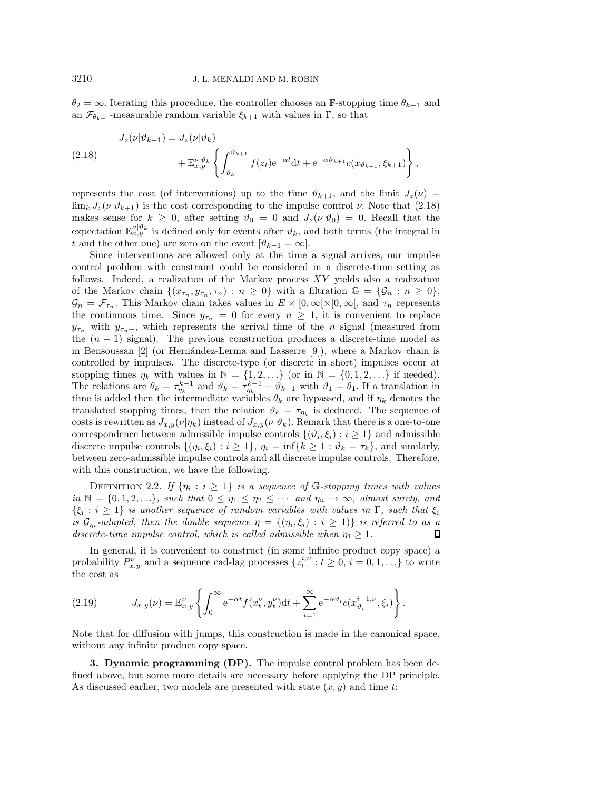$\theta_2 = \infty$ . Iterating this procedure, the controller chooses an F-stopping time  $\theta_{k+1}$  and an  $\mathcal{F}_{\theta_{k+1}}$ -measurable random variable  $\xi_{k+1}$  with values in Γ, so that

<span id="page-7-1"></span>(2.18) 
$$
J_z(\nu|\vartheta_{k+1}) = J_z(\nu|\vartheta_k) + \mathbb{E}_{x,y}^{\nu|\vartheta_k} \left\{ \int_{\vartheta_k}^{\vartheta_{k+1}} f(z_t) e^{-\alpha t} dt + e^{-\alpha \vartheta_{k+1}} c(x_{\vartheta_{k+1}}, \xi_{k+1}) \right\},
$$

represents the cost (of interventions) up to the time  $\vartheta_{k+1}$ , and the limit  $J_z(\nu)$  =  $\lim_{k} J_z(\nu | \vartheta_{k+1})$  is the cost corresponding to the impulse control  $\nu$ . Note that [\(2.18\)](#page-7-1) makes sense for  $k \geq 0$ , after setting  $\vartheta_0 = 0$  and  $J_z(\nu|\vartheta_0) = 0$ . Recall that the expectation  $\mathbb{E}_{x,y}^{\nu|\vartheta_k}$  is defined only for events after  $\vartheta_k$ , and both terms (the integral in t and the other one) are zero on the event  $[\vartheta_{k-1} = \infty]$ .

Since interventions are allowed only at the time a signal arrives, our impulse control problem with constraint could be considered in a discrete-time setting as follows. Indeed, a realization of the Markov process XY yields also a realization of the Markov chain  $\{(x_{\tau_n}, y_{\tau_n}, \tau_n) : n \geq 0\}$  with a filtration  $\mathbb{G} = {\mathcal{G}_n : n \geq 0}$ ,  $\mathcal{G}_n = \mathcal{F}_{\tau_n}$ . This Markov chain takes values in  $E \times [0, \infty) \times [0, \infty)$ , and  $\tau_n$  represents the continuous time. Since  $y_{\tau_n} = 0$  for every  $n \geq 1$ , it is convenient to replace  $y_{\tau_n}$  with  $y_{\tau_n-}$ , which represents the arrival time of the n signal (measured from the  $(n - 1)$  signal). The previous construction produces a discrete-time model as in Bensoussan  $[2]$  (or Hernández-Lerma and Lasserre  $[9]$ ), where a Markov chain is controlled by impulses. The discrete-type (or discrete in short) impulses occur at stopping times  $\eta_k$  with values in  $\mathbb{N} = \{1, 2, ...\}$  (or in  $\mathbb{N} = \{0, 1, 2, ...\}$  if needed). The relations are  $\theta_k = \tau_{\eta_k}^{k-1}$  and  $\vartheta_k = \tau_{\eta_k}^{k-1} + \vartheta_{k-1}$  with  $\vartheta_1 = \theta_1$ . If a translation in time is added then the intermediate variables  $\theta_k$  are bypassed, and if  $\eta_k$  denotes the translated stopping times, then the relation  $\vartheta_k = \tau_{\eta_k}$  is deduced. The sequence of costs is rewritten as  $J_{x,y}(\nu|\eta_k)$  instead of  $J_{x,y}(\nu|\vartheta_k)$ . Remark that there is a one-to-one correspondence between admissible impulse controls  $\{(\vartheta_i, \xi_i) : i \geq 1\}$  and admissible discrete impulse controls  $\{(\eta_i, \xi_i) : i \geq 1\}$ ,  $\eta_i = \inf\{k \geq 1 : \vartheta_k = \tau_k\}$ , and similarly, between zero-admissible impulse controls and all discrete impulse controls. Therefore, with this construction, we have the following.

DEFINITION 2.2. If  $\{\eta_i : i \geq 1\}$  is a sequence of G-stopping times with values *in*  $\mathbb{N} = \{0, 1, 2, \ldots\}$ *, such that*  $0 \leq \eta_1 \leq \eta_2 \leq \cdots$  *and*  $\eta_n \to \infty$ *, almost surely, and*  $\{\xi_i : i \geq 1\}$  *is another sequence of random variables with values in* Γ*, such that*  $\xi_i$ *is*  $\mathcal{G}_{\eta_i}$ -adapted, then the double sequence  $\eta = \{(\eta_i, \xi_i) : i \geq 1\}$  is referred to as a *discrete-time impulse control, which is called admissible when*  $\eta_1 > 1$ .  $\Box$ 

In general, it is convenient to construct (in some infinite product copy space) a probability  $P_{x,y}^{\nu}$  and a sequence cad-lag processes  $\{z_i^{i,\nu}: t \geq 0, i = 0,1,\ldots\}$  to write the cost as

<span id="page-7-2"></span>(2.19) 
$$
J_{x,y}(\nu) = \mathbb{E}_{x,y}^{\nu} \left\{ \int_0^{\infty} e^{-\alpha t} f(x_t^{\nu}, y_t^{\nu}) dt + \sum_{i=1}^{\infty} e^{-\alpha \vartheta_i} c(x_{\vartheta_i}^{i-1, \nu}, \xi_i) \right\}.
$$

Note that for diffusion with jumps, this construction is made in the canonical space, without any infinite product copy space.

<span id="page-7-0"></span>**3. Dynamic programming (DP).** The impulse control problem has been defined above, but some more details are necessary before applying the DP principle. As discussed earlier, two models are presented with state  $(x, y)$  and time t: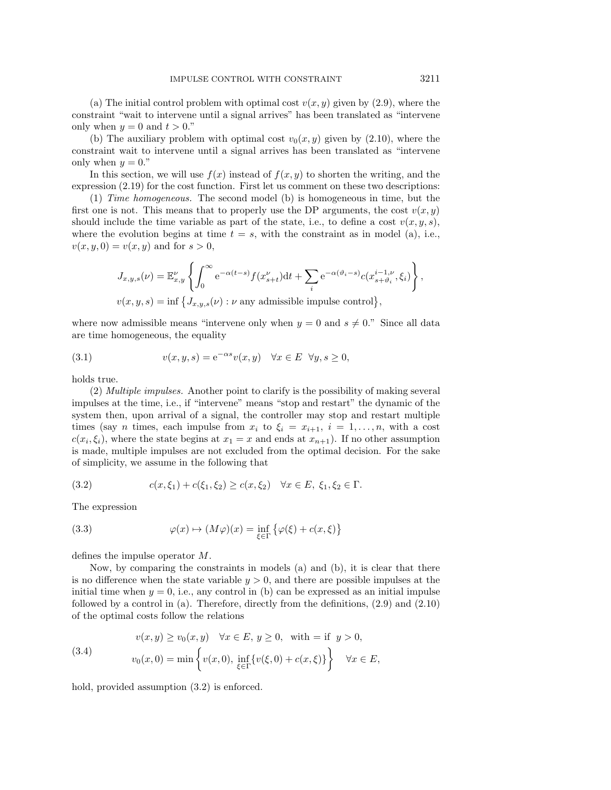(a) The initial control problem with optimal cost  $v(x, y)$  given by [\(2.9\)](#page-3-0), where the constraint "wait to intervene until a signal arrives" has been translated as "intervene only when  $y = 0$  and  $t > 0$ ."

(b) The auxiliary problem with optimal cost  $v_0(x, y)$  given by [\(2.10\)](#page-3-1), where the constraint wait to intervene until a signal arrives has been translated as "intervene only when  $y = 0$ ."

In this section, we will use  $f(x)$  instead of  $f(x, y)$  to shorten the writing, and the expression [\(2.19\)](#page-7-2) for the cost function. First let us comment on these two descriptions:

(1) *Time homogeneous.* The second model (b) is homogeneous in time, but the first one is not. This means that to properly use the DP arguments, the cost  $v(x, y)$ should include the time variable as part of the state, i.e., to define a cost  $v(x, y, s)$ , where the evolution begins at time  $t = s$ , with the constraint as in model (a), i.e.,  $v(x, y, 0) = v(x, y)$  and for  $s > 0$ ,

$$
J_{x,y,s}(\nu) = \mathbb{E}_{x,y}^{\nu} \left\{ \int_0^{\infty} e^{-\alpha(t-s)} f(x_{s+t}^{\nu}) dt + \sum_i e^{-\alpha(\vartheta_i - s)} c(x_{s+\vartheta_i}^{i-1,\nu}, \xi_i) \right\},
$$
  

$$
v(x,y,s) = \inf \left\{ J_{x,y,s}(\nu) : \nu \text{ any admissible impulse control} \right\},
$$

where now admissible means "intervene only when  $y = 0$  and  $s \neq 0$ ." Since all data are time homogeneous, the equality

(3.1) 
$$
v(x, y, s) = e^{-\alpha s} v(x, y) \quad \forall x \in E \quad \forall y, s \ge 0,
$$

holds true.

(2) *Multiple impulses.* Another point to clarify is the possibility of making several impulses at the time, i.e., if "intervene" means "stop and restart" the dynamic of the system then, upon arrival of a signal, the controller may stop and restart multiple times (say *n* times, each impulse from  $x_i$  to  $\xi_i = x_{i+1}, i = 1, \ldots, n$ , with a cost  $c(x_i, \xi_i)$ , where the state begins at  $x_1 = x$  and ends at  $x_{n+1}$ ). If no other assumption is made, multiple impulses are not excluded from the optimal decision. For the sake of simplicity, we assume in the following that

<span id="page-8-0"></span>(3.2) 
$$
c(x,\xi_1) + c(\xi_1,\xi_2) \ge c(x,\xi_2) \quad \forall x \in E, \ \xi_1,\xi_2 \in \Gamma.
$$

The expression

<span id="page-8-2"></span>(3.3) 
$$
\varphi(x) \mapsto (M\varphi)(x) = \inf_{\xi \in \Gamma} \{ \varphi(\xi) + c(x, \xi) \}
$$

defines the impulse operator M.

Now, by comparing the constraints in models (a) and (b), it is clear that there is no difference when the state variable  $y > 0$ , and there are possible impulses at the initial time when  $y = 0$ , i.e., any control in (b) can be expressed as an initial impulse followed by a control in (a). Therefore, directly from the definitions, [\(2.9\)](#page-3-0) and [\(2.10\)](#page-3-1) of the optimal costs follow the relations

<span id="page-8-1"></span>(3.4) 
$$
v(x, y) \ge v_0(x, y) \quad \forall x \in E, y \ge 0, \text{ with } = \text{if } y > 0,
$$

$$
v_0(x, 0) = \min \left\{ v(x, 0), \inf_{\xi \in \Gamma} \{ v(\xi, 0) + c(x, \xi) \} \right\} \quad \forall x \in E,
$$

hold, provided assumption  $(3.2)$  is enforced.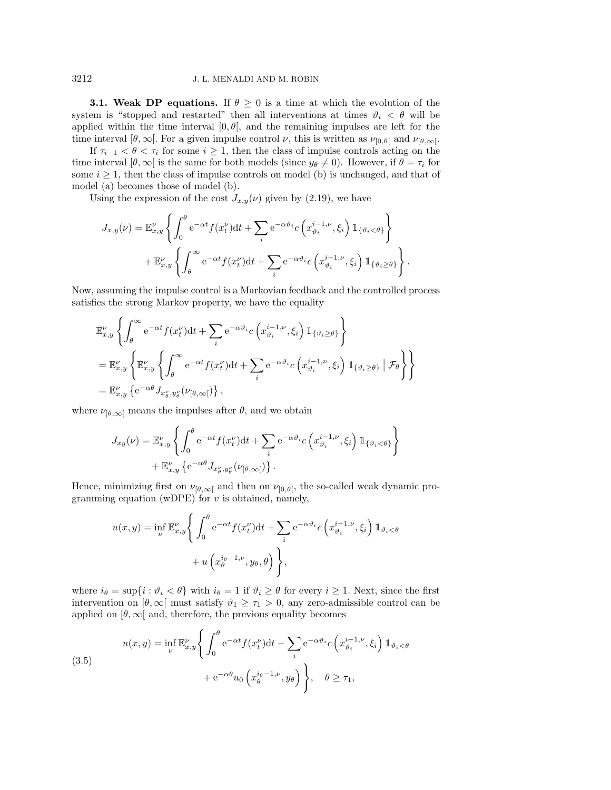**3.1. Weak DP equations.** If  $\theta \geq 0$  is a time at which the evolution of the system is "stopped and restarted" then all interventions at times  $\vartheta_i < \theta$  will be applied within the time interval  $[0, \theta]$ , and the remaining impulses are left for the time interval  $[\theta, \infty]$ . For a given impulse control  $\nu$ , this is written as  $\nu_{[0,\theta]}$  and  $\nu_{[\theta,\infty]}$ .

If  $\tau_{i-1} < \theta < \tau_i$  for some  $i \geq 1$ , then the class of impulse controls acting on the time interval  $[\theta, \infty]$  is the same for both models (since  $y_{\theta} \neq 0$ ). However, if  $\theta = \tau_i$  for some  $i \geq 1$ , then the class of impulse controls on model (b) is unchanged, and that of model (a) becomes those of model (b).

Using the expression of the cost  $J_{x,y}(\nu)$  given by [\(2.19\)](#page-7-2), we have

$$
J_{x,y}(\nu) = \mathbb{E}_{x,y}^{\nu} \left\{ \int_0^{\theta} e^{-\alpha t} f(x_t^{\nu}) dt + \sum_i e^{-\alpha \vartheta_i} c \left( x_{\vartheta_i}^{i-1,\nu}, \xi_i \right) \mathbb{1}_{\{\vartheta_i < \theta\}} \right\} + \mathbb{E}_{x,y}^{\nu} \left\{ \int_{\theta}^{\infty} e^{-\alpha t} f(x_t^{\nu}) dt + \sum_i e^{-\alpha \vartheta_i} c \left( x_{\vartheta_i}^{i-1,\nu}, \xi_i \right) \mathbb{1}_{\{\vartheta_i \ge \theta\}} \right\}.
$$

Now, assuming the impulse control is a Markovian feedback and the controlled process satisfies the strong Markov property, we have the equality

$$
\mathbb{E}_{x,y}^{\nu} \left\{ \int_{\theta}^{\infty} e^{-\alpha t} f(x_t^{\nu}) dt + \sum_i e^{-\alpha \vartheta_i} c \left( x_{\vartheta_i}^{i-1,\nu}, \xi_i \right) \mathbb{1}_{\{\vartheta_i \ge \theta\}} \right\}
$$
  
\n
$$
= \mathbb{E}_{x,y}^{\nu} \left\{ \mathbb{E}_{x,y}^{\nu} \left\{ \int_{\theta}^{\infty} e^{-\alpha t} f(x_t^{\nu}) dt + \sum_i e^{-\alpha \vartheta_i} c \left( x_{\vartheta_i}^{i-1,\nu}, \xi_i \right) \mathbb{1}_{\{\vartheta_i \ge \theta\}} \middle| \mathcal{F}_{\theta} \right\} \right\}
$$
  
\n
$$
= \mathbb{E}_{x,y}^{\nu} \left\{ e^{-\alpha \theta} J_{x_{\vartheta}^{\nu}, y_{\theta}^{\nu}} (\nu_{[\theta,\infty[}) \right\},
$$

where  $\nu_{\lbrack \theta,\infty \mathfrak{b}]}$  means the impulses after  $\theta$ , and we obtain

$$
J_{xy}(\nu) = \mathbb{E}_{x,y}^{\nu} \left\{ \int_0^{\theta} e^{-\alpha t} f(x_t^{\nu}) dt + \sum_i e^{-\alpha \vartheta_i} c \left( x_{\vartheta_i}^{i-1,\nu}, \xi_i \right) \mathbb{1}_{\{\vartheta_i < \theta\}} \right\} + \mathbb{E}_{x,y}^{\nu} \left\{ e^{-\alpha \theta} J_{x_{\vartheta}^{\nu}, y_{\vartheta}^{\nu}}(\nu_{[\theta, \infty[}) \right\}.
$$

Hence, minimizing first on  $\nu_{[\theta,\infty]}$  and then on  $\nu_{[0,\theta]}$ , the so-called weak dynamic programming equation (wDPE) for  $v$  is obtained, namely,

$$
u(x,y) = \inf_{\nu} \mathbb{E}_{x,y}^{\nu} \Bigg\{ \int_0^{\theta} e^{-\alpha t} f(x_t^{\nu}) dt + \sum_i e^{-\alpha \vartheta_i} c \left( x_{\vartheta_i}^{i-1,\nu}, \xi_i \right) \mathbb{1}_{\vartheta_i < \theta} + u \left( x_{\theta}^{i_{\theta}-1,\nu}, y_{\theta}, \theta \right) \Bigg\},
$$

where  $i_{\theta} = \sup\{i : \vartheta_i < \theta\}$  with  $i_{\theta} = 1$  if  $\vartheta_i \geq \theta$  for every  $i \geq 1$ . Next, since the first intervention on  $[\theta, \infty]$  must satisfy  $\vartheta_1 \geq \tau_1 > 0$ , any zero-admissible control can be applied on  $[\theta, \infty]$  and, therefore, the previous equality becomes

<span id="page-9-0"></span>(3.5)  

$$
u(x,y) = \inf_{\nu} \mathbb{E}_{x,y}^{\nu} \left\{ \int_0^{\theta} e^{-\alpha t} f(x_t^{\nu}) dt + \sum_i e^{-\alpha \vartheta_i} c \left( x_{\vartheta_i}^{i-1,\nu}, \xi_i \right) \mathbb{1}_{\vartheta_i < \theta} \right. \\
\left. + e^{-\alpha \theta} u_0 \left( x_{\theta}^{i_{\theta}-1,\nu}, y_{\theta} \right) \right\}, \quad \theta \ge \tau_1,
$$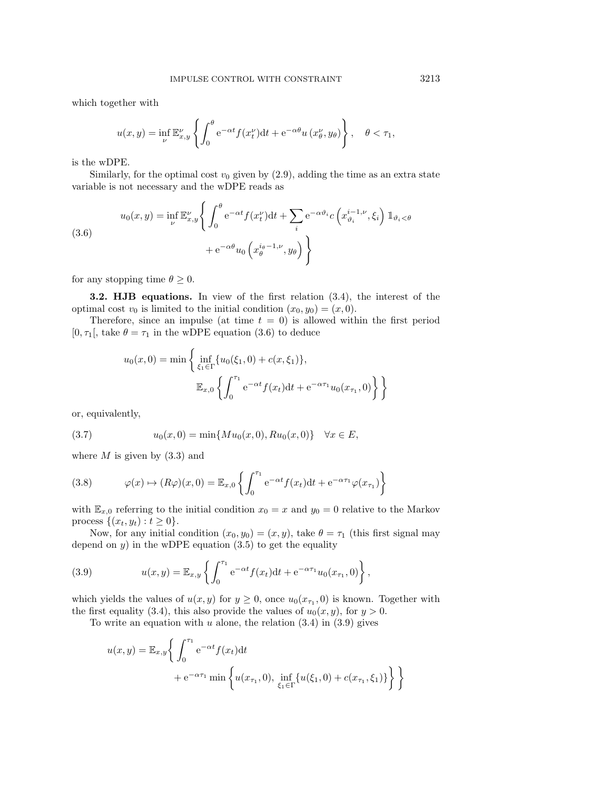which together with

$$
u(x,y) = \inf_{\nu} \mathbb{E}_{x,y}^{\nu} \left\{ \int_0^{\theta} e^{-\alpha t} f(x_t^{\nu}) dt + e^{-\alpha \theta} u(x_{\theta}^{\nu}, y_{\theta}) \right\}, \quad \theta < \tau_1,
$$

is the wDPE.

Similarly, for the optimal cost  $v_0$  given by  $(2.9)$ , adding the time as an extra state variable is not necessary and the wDPE reads as

<span id="page-10-0"></span>(3.6)  

$$
u_0(x,y) = \inf_{\nu} \mathbb{E}_{x,y}^{\nu} \left\{ \int_0^{\theta} e^{-\alpha t} f(x_t^{\nu}) dt + \sum_i e^{-\alpha \vartheta_i} c \left( x_{\vartheta_i}^{i-1,\nu}, \xi_i \right) \mathbb{1}_{\vartheta_i < \theta} \right. \\
\left. + e^{-\alpha \theta} u_0 \left( x_{\theta}^{i_{\theta}-1,\nu}, y_{\theta} \right) \right\}
$$

for any stopping time  $\theta \geq 0$ .

**3.2. HJB equations.** In view of the first relation [\(3.4\)](#page-8-1), the interest of the optimal cost  $v_0$  is limited to the initial condition  $(x_0, y_0)=(x, 0)$ .

Therefore, since an impulse (at time  $t = 0$ ) is allowed within the first period [0,  $\tau_1$ ], take  $\theta = \tau_1$  in the wDPE equation [\(3.6\)](#page-10-0) to deduce

$$
u_0(x,0) = \min\left\{\inf_{\xi_1 \in \Gamma} \{u_0(\xi_1,0) + c(x,\xi_1)\},\right\}
$$

$$
\mathbb{E}_{x,0}\left\{\int_0^{\tau_1} e^{-\alpha t} f(x_t) dt + e^{-\alpha \tau_1} u_0(x_{\tau_1},0)\right\}\right\}
$$

or, equivalently,

<span id="page-10-3"></span>(3.7) 
$$
u_0(x,0) = \min\{Mu_0(x,0), Ru_0(x,0)\} \quad \forall x \in E,
$$

where  $M$  is given by  $(3.3)$  and

<span id="page-10-2"></span>(3.8) 
$$
\varphi(x) \mapsto (R\varphi)(x,0) = \mathbb{E}_{x,0} \left\{ \int_0^{\tau_1} e^{-\alpha t} f(x_t) dt + e^{-\alpha \tau_1} \varphi(x_{\tau_1}) \right\}
$$

with  $\mathbb{E}_{x,0}$  referring to the initial condition  $x_0 = x$  and  $y_0 = 0$  relative to the Markov process  $\{(x_t, y_t): t \geq 0\}.$ 

Now, for any initial condition  $(x_0, y_0)=(x, y)$ , take  $\theta = \tau_1$  (this first signal may depend on  $y$ ) in the wDPE equation [\(3.5\)](#page-9-0) to get the equality

<span id="page-10-1"></span>(3.9) 
$$
u(x,y) = \mathbb{E}_{x,y} \left\{ \int_0^{\tau_1} e^{-\alpha t} f(x_t) dt + e^{-\alpha \tau_1} u_0(x_{\tau_1}, 0) \right\},
$$

which yields the values of  $u(x, y)$  for  $y \ge 0$ , once  $u_0(x_{\tau_1}, 0)$  is known. Together with the first equality [\(3.4\)](#page-8-1), this also provide the values of  $u_0(x, y)$ , for  $y > 0$ .

To write an equation with u alone, the relation  $(3.4)$  in  $(3.9)$  gives

$$
u(x,y) = \mathbb{E}_{x,y} \left\{ \int_0^{\tau_1} e^{-\alpha t} f(x_t) dt + e^{-\alpha \tau_1} \min \left\{ u(x_{\tau_1}, 0), \inf_{\xi_1 \in \Gamma} \{ u(\xi_1, 0) + c(x_{\tau_1}, \xi_1) \} \right\} \right\}
$$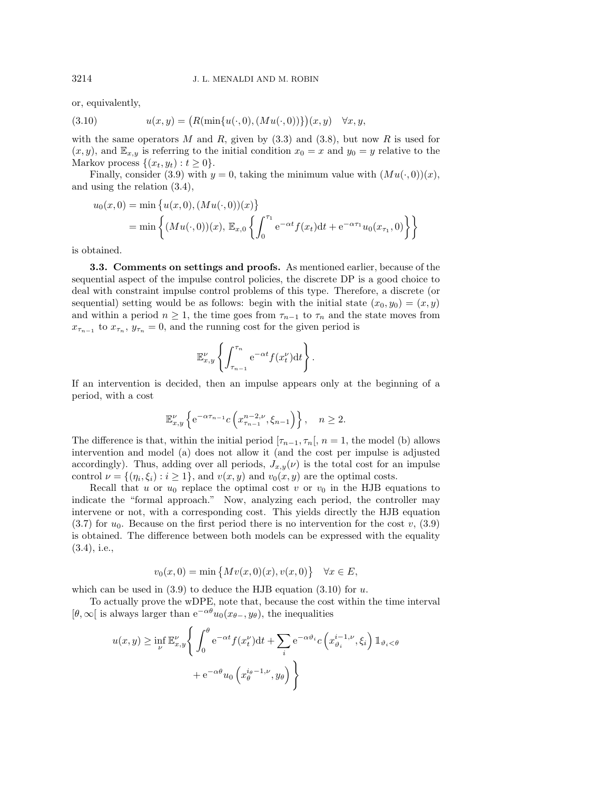or, equivalently,

<span id="page-11-0"></span>(3.10) 
$$
u(x,y) = (R(\min\{u(\cdot,0), (Mu(\cdot,0))\})(x,y) \quad \forall x, y,
$$

with the same operators M and R, given by  $(3.3)$  and  $(3.8)$ , but now R is used for  $(x, y)$ , and  $\mathbb{E}_{x,y}$  is referring to the initial condition  $x_0 = x$  and  $y_0 = y$  relative to the Markov process  $\{(x_t, y_t): t \geq 0\}.$ 

Finally, consider [\(3.9\)](#page-10-1) with  $y = 0$ , taking the minimum value with  $(Mu(\cdot, 0))(x)$ , and using the relation [\(3.4\)](#page-8-1),

$$
u_0(x,0) = \min \{ u(x,0), (Mu(\cdot,0))(x) \}
$$
  
= 
$$
\min \left\{ (Mu(\cdot,0))(x), \mathbb{E}_{x,0} \left\{ \int_0^{\tau_1} e^{-\alpha t} f(x_t) dt + e^{-\alpha \tau_1} u_0(x_{\tau_1},0) \right\} \right\}
$$

is obtained.

**3.3. Comments on settings and proofs.** As mentioned earlier, because of the sequential aspect of the impulse control policies, the discrete DP is a good choice to deal with constraint impulse control problems of this type. Therefore, a discrete (or sequential) setting would be as follows: begin with the initial state  $(x_0, y_0)=(x, y)$ and within a period  $n \geq 1$ , the time goes from  $\tau_{n-1}$  to  $\tau_n$  and the state moves from  $x_{\tau_{n-1}}$  to  $x_{\tau_n}$ ,  $y_{\tau_n} = 0$ , and the running cost for the given period is

$$
\mathbb{E}^{\nu}_{x,y}\left\{\int_{\tau_{n-1}}^{\tau_n} e^{-\alpha t} f(x_t^{\nu}) dt\right\}.
$$

If an intervention is decided, then an impulse appears only at the beginning of a period, with a cost

$$
\mathbb{E}^{\nu}_{x,y}\left\{e^{-\alpha\tau_{n-1}}c\left(x^{n-2,\nu}_{\tau_{n-1}},\xi_{n-1}\right)\right\},\quad n\geq 2.
$$

The difference is that, within the initial period  $[\tau_{n-1}, \tau_n], n = 1$ , the model (b) allows intervention and model (a) does not allow it (and the cost per impulse is adjusted accordingly). Thus, adding over all periods,  $J_{x,y}(\nu)$  is the total cost for an impulse control  $\nu = \{(\eta_i, \xi_i) : i \geq 1\}$ , and  $v(x, y)$  and  $v_0(x, y)$  are the optimal costs.

Recall that u or  $u_0$  replace the optimal cost v or  $v_0$  in the HJB equations to indicate the "formal approach." Now, analyzing each period, the controller may intervene or not, with a corresponding cost. This yields directly the HJB equation  $(3.7)$  for  $u_0$ . Because on the first period there is no intervention for the cost v,  $(3.9)$ is obtained. The difference between both models can be expressed with the equality [\(3.4\)](#page-8-1), i.e.,

$$
v_0(x, 0) = \min \{ Mv(x, 0)(x), v(x, 0) \} \quad \forall x \in E,
$$

which can be used in  $(3.9)$  to deduce the HJB equation  $(3.10)$  for u.

To actually prove the wDPE, note that, because the cost within the time interval  $[\theta, \infty]$  is always larger than  $e^{-\alpha \theta} u_0(x_{\theta-}, y_{\theta})$ , the inequalities

$$
u(x,y) \ge \inf_{\nu} \mathbb{E}_{x,y}^{\nu} \left\{ \int_0^{\theta} e^{-\alpha t} f(x_t^{\nu}) dt + \sum_i e^{-\alpha \vartheta_i} c \left( x_{\vartheta_i}^{i-1,\nu}, \xi_i \right) \mathbb{1}_{\vartheta_i < \theta} \right\}
$$

$$
+ e^{-\alpha \theta} u_0 \left( x_{\theta}^{i_{\theta}-1,\nu}, y_{\theta} \right) \right\}
$$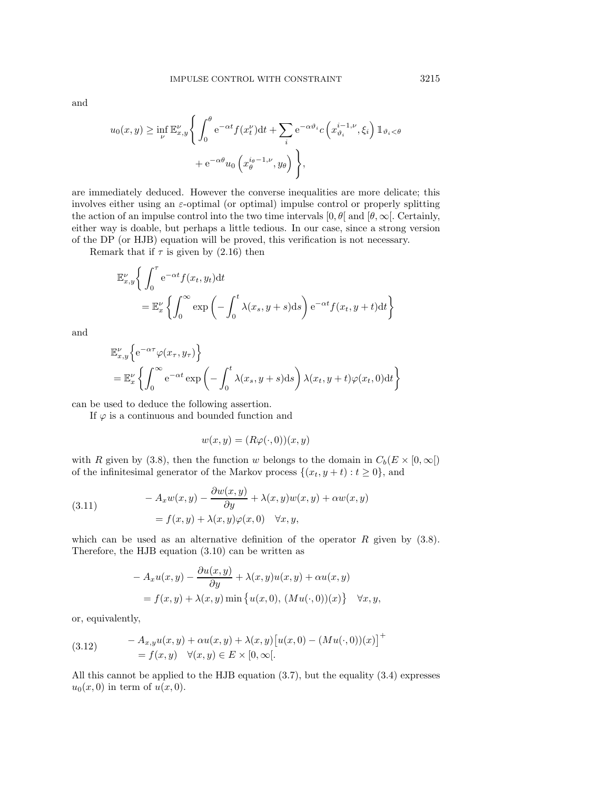and

$$
u_0(x, y) \ge \inf_{\nu} \mathbb{E}_{x, y}^{\nu} \Bigg\{ \int_0^{\theta} e^{-\alpha t} f(x_t^{\nu}) dt + \sum_i e^{-\alpha \vartheta_i} c \left( x_{\vartheta_i}^{i-1, \nu}, \xi_i \right) \mathbb{1}_{\vartheta_i < \theta}
$$

$$
+ e^{-\alpha \theta} u_0 \left( x_{\theta}^{i_{\theta}-1, \nu}, y_{\theta} \right) \Bigg\},
$$

are immediately deduced. However the converse inequalities are more delicate; this involves either using an  $\varepsilon$ -optimal (or optimal) impulse control or properly splitting the action of an impulse control into the two time intervals  $[0, \theta]$  and  $[\theta, \infty]$ . Certainly, either way is doable, but perhaps a little tedious. In our case, since a strong version of the DP (or HJB) equation will be proved, this verification is not necessary.

Remark that if  $\tau$  is given by [\(2.16\)](#page-5-0) then

$$
\mathbb{E}_{x,y}^{\nu} \left\{ \int_0^{\tau} e^{-\alpha t} f(x_t, y_t) dt \right\} \n= \mathbb{E}_x^{\nu} \left\{ \int_0^{\infty} \exp \left( - \int_0^t \lambda(x_s, y + s) ds \right) e^{-\alpha t} f(x_t, y + t) dt \right\}
$$

and

$$
\mathbb{E}_{x,y}^{\nu} \Big\{ e^{-\alpha \tau} \varphi(x_{\tau}, y_{\tau}) \Big\}
$$
  
=  $\mathbb{E}_{x}^{\nu} \Big\{ \int_{0}^{\infty} e^{-\alpha t} \exp \left( - \int_{0}^{t} \lambda(x_{s}, y + s) \, ds \right) \lambda(x_{t}, y + t) \varphi(x_{t}, 0) \, dt \Big\}$ 

can be used to deduce the following assertion.

If  $\varphi$  is a continuous and bounded function and

$$
w(x, y) = (R\varphi(\cdot, 0))(x, y)
$$

with R given by [\(3.8\)](#page-10-2), then the function w belongs to the domain in  $C_b(E \times [0, \infty])$ of the infinitesimal generator of the Markov process  $\{(x_t, y + t) : t \geq 0\}$ , and

(3.11) 
$$
-A_x w(x, y) - \frac{\partial w(x, y)}{\partial y} + \lambda(x, y) w(x, y) + \alpha w(x, y)
$$

$$
= f(x, y) + \lambda(x, y) \varphi(x, 0) \quad \forall x, y,
$$

which can be used as an alternative definition of the operator  $R$  given by [\(3.8\)](#page-10-2). Therefore, the HJB equation [\(3.10\)](#page-11-0) can be written as

$$
- A_x u(x, y) - \frac{\partial u(x, y)}{\partial y} + \lambda(x, y) u(x, y) + \alpha u(x, y)
$$
  
=  $f(x, y) + \lambda(x, y) \min \{ u(x, 0), (Mu(\cdot, 0))(x) \} \quad \forall x, y,$ 

or, equivalently,

<span id="page-12-0"></span>(3.12) 
$$
-A_{x,y}u(x,y) + \alpha u(x,y) + \lambda(x,y)[u(x,0) - (Mu(\cdot,0))(x)]^{+}
$$

$$
= f(x,y) \quad \forall (x,y) \in E \times [0,\infty[.
$$

All this cannot be applied to the HJB equation [\(3.7\)](#page-10-3), but the equality [\(3.4\)](#page-8-1) expresses  $u_0(x, 0)$  in term of  $u(x, 0)$ .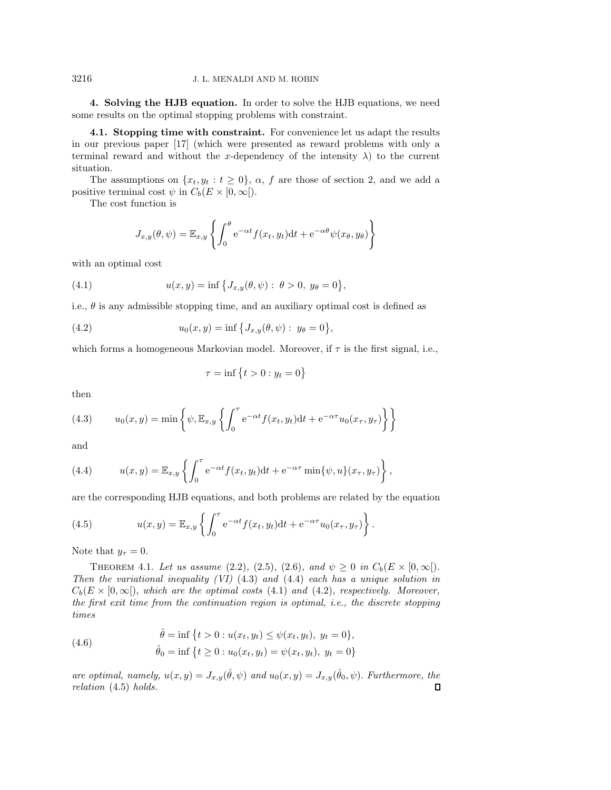<span id="page-13-0"></span>**4. Solving the HJB equation.** In order to solve the HJB equations, we need some results on the optimal stopping problems with constraint.

<span id="page-13-6"></span>**4.1. Stopping time with constraint.** For convenience let us adapt the results in our previous paper [\[17\]](#page-22-8) (which were presented as reward problems with only a terminal reward and without the x-dependency of the intensity  $\lambda$ ) to the current situation.

The assumptions on  $\{x_t, y_t : t \geq 0\}$ ,  $\alpha$ , f are those of section [2,](#page-2-0) and we add a positive terminal cost  $\psi$  in  $C_b(E \times [0, \infty])$ .

The cost function is

<span id="page-13-3"></span>
$$
J_{x,y}(\theta,\psi) = \mathbb{E}_{x,y} \left\{ \int_0^{\theta} e^{-\alpha t} f(x_t, y_t) dt + e^{-\alpha \theta} \psi(x_{\theta}, y_{\theta}) \right\}
$$

with an optimal cost

(4.1) 
$$
u(x, y) = \inf \{ J_{x,y}(\theta, \psi) : \ \theta > 0, \ y_{\theta} = 0 \},
$$

i.e.,  $\theta$  is any admissible stopping time, and an auxiliary optimal cost is defined as

(4.2) 
$$
u_0(x, y) = \inf \{ J_{x,y}(\theta, \psi) : y_\theta = 0 \},
$$

which forms a homogeneous Markovian model. Moreover, if  $\tau$  is the first signal, i.e.,

<span id="page-13-4"></span>
$$
\tau = \inf \left\{ t > 0 : y_t = 0 \right\}
$$

then

<span id="page-13-1"></span>(4.3) 
$$
u_0(x,y) = \min \left\{ \psi, \mathbb{E}_{x,y} \left\{ \int_0^{\tau} e^{-\alpha t} f(x_t, y_t) dt + e^{-\alpha \tau} u_0(x_{\tau}, y_{\tau}) \right\} \right\}
$$

and

<span id="page-13-2"></span>(4.4) 
$$
u(x,y) = \mathbb{E}_{x,y} \left\{ \int_0^{\tau} e^{-\alpha t} f(x_t, y_t) dt + e^{-\alpha \tau} \min\{\psi, u\}(x_{\tau}, y_{\tau}) \right\},
$$

are the corresponding HJB equations, and both problems are related by the equation

<span id="page-13-5"></span>(4.5) 
$$
u(x,y) = \mathbb{E}_{x,y} \left\{ \int_0^{\tau} e^{-\alpha t} f(x_t, y_t) dt + e^{-\alpha \tau} u_0(x_{\tau}, y_{\tau}) \right\}.
$$

Note that  $y_\tau = 0$ .

THEOREM 4.1. Let us assume [\(2.2\)](#page-2-3), [\(2.5\)](#page-3-2), [\(2.6\)](#page-3-4), and  $\psi \ge 0$  in  $C_b(E \times [0, \infty])$ . *Then the variational inequality (VI)* [\(4.3\)](#page-13-1) *and* [\(4.4\)](#page-13-2) *each has a unique solution in*  $C_b(E \times [0,\infty])$ , which are the optimal costs [\(4.1\)](#page-13-3) and [\(4.2\)](#page-13-4), respectively. Moreover, *the first exit time from the continuation region is optimal, i.e., the discrete stopping times*

(4.6) 
$$
\hat{\theta} = \inf \{ t > 0 : u(x_t, y_t) \le \psi(x_t, y_t), y_t = 0 \}, \n\hat{\theta}_0 = \inf \{ t \ge 0 : u_0(x_t, y_t) = \psi(x_t, y_t), y_t = 0 \}
$$

*are optimal, namely,*  $u(x, y) = J_{x,y}(\hat{\theta}, \psi)$  *and*  $u_0(x, y) = J_{x,y}(\hat{\theta}_0, \psi)$ . *Furthermore, the relation* [\(4.5\)](#page-13-5) *holds.* $\Box$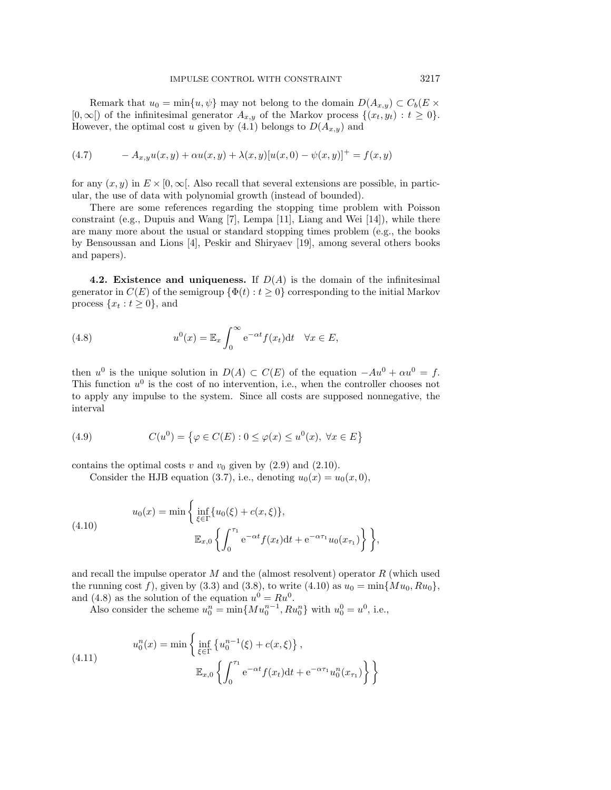Remark that  $u_0 = \min\{u, \psi\}$  may not belong to the domain  $D(A_{x,y}) \subset C_b(E \times$  $[0,\infty[)$  of the infinitesimal generator  $A_{x,y}$  of the Markov process  $\{(x_t,y_t): t \geq 0\}.$ However, the optimal cost u given by [\(4.1\)](#page-13-3) belongs to  $D(A_{x,y})$  and

(4.7) 
$$
-A_{x,y}u(x,y) + \alpha u(x,y) + \lambda(x,y)[u(x,0) - \psi(x,y)]^{+} = f(x,y)
$$

for any  $(x, y)$  in  $E \times [0, \infty]$ . Also recall that several extensions are possible, in particular, the use of data with polynomial growth (instead of bounded).

There are some references regarding the stopping time problem with Poisson constraint (e.g., Dupuis and Wang [\[7\]](#page-22-7), Lempa [\[11\]](#page-22-15), Liang and Wei [\[14\]](#page-22-10)), while there are many more about the usual or standard stopping times problem (e.g., the books by Bensoussan and Lions [\[4\]](#page-22-1), Peskir and Shiryaev [\[19\]](#page-22-6), among several others books and papers).

**4.2. Existence and uniqueness.** If  $D(A)$  is the domain of the infinitesimal generator in  $C(E)$  of the semigroup  $\{\Phi(t): t \geq 0\}$  corresponding to the initial Markov process  $\{x_t : t \geq 0\}$ , and

<span id="page-14-1"></span>(4.8) 
$$
u^{0}(x) = \mathbb{E}_{x} \int_{0}^{\infty} e^{-\alpha t} f(x_{t}) dt \quad \forall x \in E,
$$

then  $u^0$  is the unique solution in  $D(A) \subset C(E)$  of the equation  $-Au^0 + \alpha u^0 = f$ . This function  $u^0$  is the cost of no intervention, i.e., when the controller chooses not to apply any impulse to the system. Since all costs are supposed nonnegative, the interval

(4.9) 
$$
C(u^0) = \{ \varphi \in C(E) : 0 \le \varphi(x) \le u^0(x), \ \forall x \in E \}
$$

contains the optimal costs v and  $v_0$  given by  $(2.9)$  and  $(2.10)$ .

Consider the HJB equation [\(3.7\)](#page-10-3), i.e., denoting  $u_0(x) = u_0(x, 0)$ ,

<span id="page-14-0"></span>(4.10) 
$$
u_0(x) = \min \left\{ \inf_{\xi \in \Gamma} \{u_0(\xi) + c(x, \xi)\}, \mathbb{E}_{x,0} \left\{ \int_0^{\tau_1} e^{-\alpha t} f(x_t) dt + e^{-\alpha \tau_1} u_0(x_{\tau_1}) \right\} \right\},
$$

and recall the impulse operator  $M$  and the (almost resolvent) operator  $R$  (which used the running cost f), given by [\(3.3\)](#page-8-2) and [\(3.8\)](#page-10-2), to write [\(4.10\)](#page-14-0) as  $u_0 = \min\{Mu_0, Ru_0\}$ , and [\(4.8\)](#page-14-1) as the solution of the equation  $u^0 = Ru^0$ .

Also consider the scheme  $u_0^n = \min\{Mu_0^{n-1}, Ru_0^n\}$  with  $u_0^0 = u^0$ , i.e.,

<span id="page-14-2"></span>(4.11) 
$$
u_0^n(x) = \min \left\{ \inf_{\xi \in \Gamma} \left\{ u_0^{n-1}(\xi) + c(x, \xi) \right\}, \right. \mathbb{E}_{x,0} \left\{ \int_0^{\tau_1} e^{-\alpha t} f(x_t) dt + e^{-\alpha \tau_1} u_0^n(x_{\tau_1}) \right\} \right\}
$$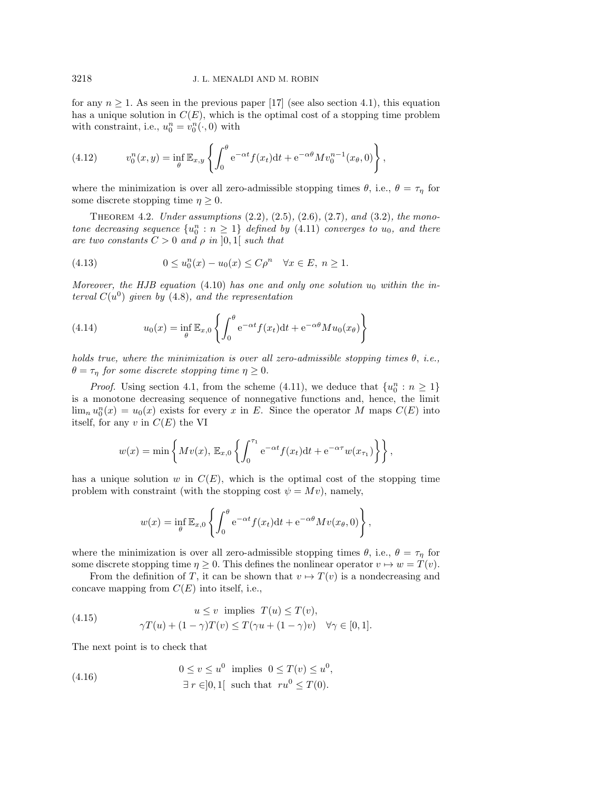for any  $n \geq 1$ . As seen in the previous paper [\[17\]](#page-22-8) (see also section [4.1\)](#page-13-6), this equation has a unique solution in  $C(E)$ , which is the optimal cost of a stopping time problem with constraint, i.e.,  $u_0^n = v_0^n(\cdot, 0)$  with

<span id="page-15-3"></span>(4.12) 
$$
v_0^n(x, y) = \inf_{\theta} \mathbb{E}_{x, y} \left\{ \int_0^{\theta} e^{-\alpha t} f(x_t) dt + e^{-\alpha \theta} M v_0^{n-1}(x_{\theta}, 0) \right\},
$$

<span id="page-15-5"></span>where the minimization is over all zero-admissible stopping times  $\theta$ , i.e.,  $\theta = \tau_{\eta}$  for some discrete stopping time  $\eta \geq 0$ .

Theorem 4.2. *Under assumptions* [\(2.2\)](#page-2-3)*,* [\(2.5\)](#page-3-2)*,* [\(2.6\)](#page-3-4)*,* [\(2.7\)](#page-3-5)*, and* [\(3.2\)](#page-8-0)*, the monotone decreasing sequence*  ${u_0^n : n \geq 1}$  *defined by*  $(4.11)$  *converges to*  $u_0$ *, and there are two constants*  $C > 0$  *and*  $\rho$  *in*  $]0,1[$  *such that* 

<span id="page-15-2"></span>(4.13) 
$$
0 \le u_0^n(x) - u_0(x) \le C\rho^n \quad \forall x \in E, \ n \ge 1.
$$

*Moreover, the HJB equation* [\(4.10\)](#page-14-0) *has one and only one solution*  $u_0$  *within the interval*  $C(u^0)$  *given by* [\(4.8\)](#page-14-1)*, and the representation* 

<span id="page-15-4"></span>(4.14) 
$$
u_0(x) = \inf_{\theta} \mathbb{E}_{x,0} \left\{ \int_0^{\theta} e^{-\alpha t} f(x_t) dt + e^{-\alpha \theta} M u_0(x_{\theta}) \right\}
$$

*holds true, where the minimization is over all zero-admissible stopping times* θ, *i.e.,*  $\theta = \tau_{\eta}$  *for some discrete stopping time*  $\eta \geq 0$ .

*Proof.* Using section [4.1,](#page-13-6) from the scheme [\(4.11\)](#page-14-2), we deduce that  $\{u_0^n : n \geq 1\}$ is a monotone decreasing sequence of nonnegative functions and, hence, the limit  $\lim_n u_0^n(x) = u_0(x)$  exists for every x in E. Since the operator M maps  $C(E)$  into itself, for any  $v$  in  $C(E)$  the VI

$$
w(x) = \min\left\{Mv(x), \mathbb{E}_{x,0}\left\{\int_0^{\tau_1} e^{-\alpha t} f(x_t)dt + e^{-\alpha \tau} w(x_{\tau_1})\right\}\right\},\
$$

has a unique solution w in  $C(E)$ , which is the optimal cost of the stopping time problem with constraint (with the stopping cost  $\psi = Mv$ ), namely,

$$
w(x) = \inf_{\theta} \mathbb{E}_{x,0} \left\{ \int_0^{\theta} e^{-\alpha t} f(x_t) dt + e^{-\alpha \theta} M v(x_{\theta}, 0) \right\},\,
$$

where the minimization is over all zero-admissible stopping times  $\theta$ , i.e.,  $\theta = \tau_{\eta}$  for some discrete stopping time  $\eta \geq 0$ . This defines the nonlinear operator  $v \mapsto w = T(v)$ .

From the definition of T, it can be shown that  $v \mapsto T(v)$  is a nondecreasing and concave mapping from  $C(E)$  into itself, i.e.,

<span id="page-15-1"></span>(4.15) 
$$
u \le v \text{ implies } T(u) \le T(v),
$$

$$
\gamma T(u) + (1 - \gamma)T(v) \le T(\gamma u + (1 - \gamma)v) \quad \forall \gamma \in [0, 1].
$$

The next point is to check that

<span id="page-15-0"></span>(4.16) 
$$
0 \le v \le u^0 \text{ implies } 0 \le T(v) \le u^0,
$$

$$
\exists r \in ]0,1[ \text{ such that } ru^0 \le T(0).
$$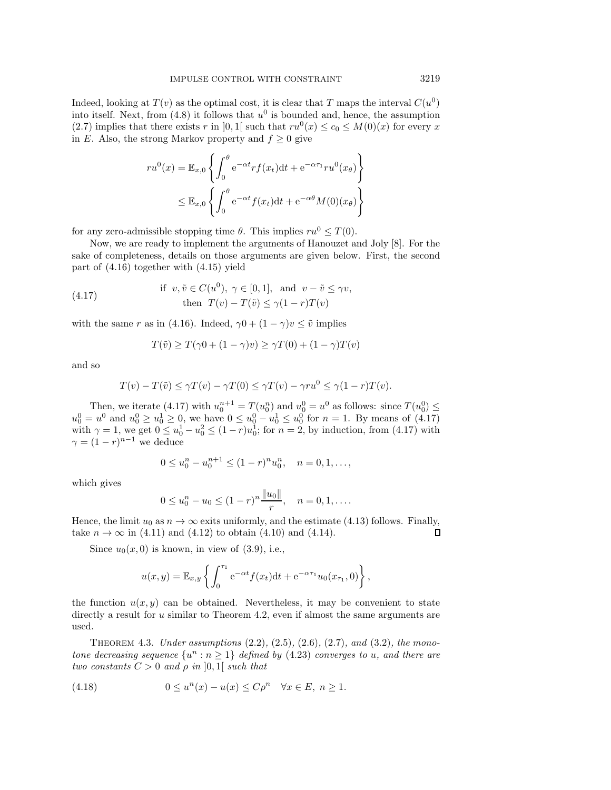Indeed, looking at  $T(v)$  as the optimal cost, it is clear that T maps the interval  $C(u^0)$ into itself. Next, from  $(4.8)$  it follows that  $u<sup>0</sup>$  is bounded and, hence, the assumption [\(2.7\)](#page-3-5) implies that there exists r in [0, 1] such that  $ru^{0}(x) \leq c_{0} \leq M(0)(x)$  for every x in E. Also, the strong Markov property and  $f \geq 0$  give

$$
ru^{0}(x) = \mathbb{E}_{x,0} \left\{ \int_{0}^{\theta} e^{-\alpha t} rf(x_{t}) dt + e^{-\alpha \tau_{1}} ru^{0}(x_{\theta}) \right\}
$$
  

$$
\leq \mathbb{E}_{x,0} \left\{ \int_{0}^{\theta} e^{-\alpha t} f(x_{t}) dt + e^{-\alpha \theta} M(0)(x_{\theta}) \right\}
$$

for any zero-admissible stopping time  $\theta$ . This implies  $ru^0 \leq T(0)$ .

Now, we are ready to implement the arguments of Hanouzet and Joly [\[8\]](#page-22-16). For the sake of completeness, details on those arguments are given below. First, the second part of [\(4.16\)](#page-15-0) together with [\(4.15\)](#page-15-1) yield

(4.17) if 
$$
v, \tilde{v} \in C(u^0), \gamma \in [0, 1]
$$
, and  $v - \tilde{v} \le \gamma v$ ,  
then  $T(v) - T(\tilde{v}) \le \gamma (1 - r)T(v)$ 

with the same r as in [\(4.16\)](#page-15-0). Indeed,  $\gamma 0 + (1 - \gamma)v \leq \tilde{v}$  implies

<span id="page-16-0"></span>
$$
T(\tilde{v}) \ge T(\gamma 0 + (1 - \gamma)v) \ge \gamma T(0) + (1 - \gamma)T(v)
$$

and so

$$
T(v) - T(\tilde{v}) \le \gamma T(v) - \gamma T(0) \le \gamma T(v) - \gamma r u^0 \le \gamma (1 - r) T(v).
$$

Then, we iterate [\(4.17\)](#page-16-0) with  $u_0^{n+1} = T(u_0^n)$  and  $u_0^0 = u^0$  as follows: since  $T(u_0^0) \leq$  $u_0^0 = u^0$  and  $u_0^0 \ge u_0^1 \ge 0$ , we have  $0 \le u_0^0 - u_0^1 \le u_0^0$  for  $n = 1$ . By means of [\(4.17\)](#page-16-0) with  $\gamma = 1$ , we get  $0 \le u_0^1 - u_0^2 \le (1 - r)u_0^1$ ; for  $n = 2$ , by induction, from [\(4.17\)](#page-16-0) with  $\gamma = (1 - r)^{n-1}$  we deduce

$$
0 \le u_0^n - u_0^{n+1} \le (1-r)^n u_0^n, \quad n = 0, 1, \dots,
$$

which gives

$$
0 \le u_0^n - u_0 \le (1 - r)^n \frac{\|u_0\|}{r}, \quad n = 0, 1, \dots
$$

Hence, the limit  $u_0$  as  $n \to \infty$  exits uniformly, and the estimate [\(4.13\)](#page-15-2) follows. Finally, take  $n \to \infty$  in [\(4.11\)](#page-14-2) and [\(4.12\)](#page-15-3) to obtain [\(4.10\)](#page-14-0) and [\(4.14\)](#page-15-4). П

Since  $u_0(x, 0)$  is known, in view of [\(3.9\)](#page-10-1), i.e.,

$$
u(x,y) = \mathbb{E}_{x,y} \left\{ \int_0^{\tau_1} e^{-\alpha t} f(x_t) dt + e^{-\alpha \tau_1} u_0(x_{\tau_1}, 0) \right\},\,
$$

the function  $u(x, y)$  can be obtained. Nevertheless, it may be convenient to state directly a result for u similar to Theorem [4.2,](#page-15-5) even if almost the same arguments are used.

<span id="page-16-1"></span>Theorem 4.3. *Under assumptions* [\(2.2\)](#page-2-3)*,* [\(2.5\)](#page-3-2)*,* [\(2.6\)](#page-3-4)*,* [\(2.7\)](#page-3-5)*, and* [\(3.2\)](#page-8-0)*, the monotone decreasing sequence*  $\{u^n : n \geq 1\}$  *defined by* [\(4.23\)](#page-17-0) *converges to* u, and there are *two constants*  $C > 0$  *and*  $\rho$  *in*  $]0,1[$  *such that* 

(4.18) 
$$
0 \le u^n(x) - u(x) \le C\rho^n \quad \forall x \in E, n \ge 1.
$$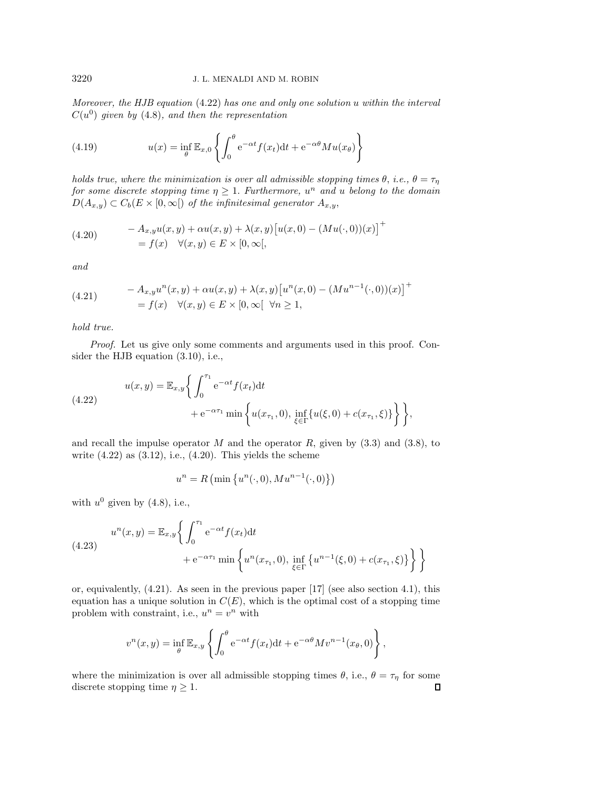*Moreover, the HJB equation* [\(4.22\)](#page-17-1) *has one and only one solution* u *within the interval*  $C(u^0)$  *given by* [\(4.8\)](#page-14-1)*, and then the representation* 

<span id="page-17-4"></span>(4.19) 
$$
u(x) = \inf_{\theta} \mathbb{E}_{x,0} \left\{ \int_0^{\theta} e^{-\alpha t} f(x_t) dt + e^{-\alpha \theta} M u(x_{\theta}) \right\}
$$

*holds true, where the minimization is over all admissible stopping times*  $\theta$ , *i.e.*,  $\theta = \tau_{\eta}$ *for some discrete stopping time*  $\eta \geq 1$ *. Furthermore,*  $u^n$  *and*  $u$  *belong* to the *domain*  $D(A_{x,y}) \subset C_b(E \times [0,\infty[)$  *of the infinitesimal generator*  $A_{x,y}$ ,

<span id="page-17-2"></span>(4.20) 
$$
- A_{x,y} u(x, y) + \alpha u(x, y) + \lambda(x, y) [u(x, 0) - (Mu(\cdot, 0))(x)]^+
$$

$$
= f(x) \quad \forall (x, y) \in E \times [0, \infty[,
$$

*and*

<span id="page-17-3"></span>(4.21) 
$$
-A_{x,y}u^{n}(x,y) + \alpha u(x,y) + \lambda(x,y)\left[u^{n}(x,0) - (Mu^{n-1}(\cdot,0))(x)\right]^{+}
$$

$$
= f(x) \quad \forall (x,y) \in E \times [0,\infty[ \forall n \ge 1,
$$

*hold true.*

*Proof.* Let us give only some comments and arguments used in this proof. Consider the HJB equation [\(3.10\)](#page-11-0), i.e.,

<span id="page-17-1"></span>(4.22) 
$$
u(x,y) = \mathbb{E}_{x,y} \left\{ \int_0^{\tau_1} e^{-\alpha t} f(x_t) dt + e^{-\alpha \tau_1} \min \left\{ u(x_{\tau_1}, 0), \inf_{\xi \in \Gamma} \{ u(\xi, 0) + c(x_{\tau_1}, \xi) \} \right\} \right\},
$$

and recall the impulse operator  $M$  and the operator  $R$ , given by  $(3.3)$  and  $(3.8)$ , to write  $(4.22)$  as  $(3.12)$ , i.e.,  $(4.20)$ . This yields the scheme

$$
u^n = R\left(\min\left\{u^n(\cdot,0), M u^{n-1}(\cdot,0)\right\}\right)
$$

with  $u^0$  given by [\(4.8\)](#page-14-1), i.e.,

<span id="page-17-0"></span>(4.23) 
$$
u^{n}(x, y) = \mathbb{E}_{x, y} \left\{ \int_{0}^{\tau_{1}} e^{-\alpha t} f(x_{t}) dt + e^{-\alpha \tau_{1}} \min \left\{ u^{n}(x_{\tau_{1}}, 0), \inf_{\xi \in \Gamma} \left\{ u^{n-1}(\xi, 0) + c(x_{\tau_{1}}, \xi) \right\} \right\} \right\}
$$

or, equivalently,  $(4.21)$ . As seen in the previous paper [\[17\]](#page-22-8) (see also section [4.1\)](#page-13-6), this equation has a unique solution in  $C(E)$ , which is the optimal cost of a stopping time problem with constraint, i.e.,  $u^n = v^n$  with

$$
v^{n}(x,y) = \inf_{\theta} \mathbb{E}_{x,y} \left\{ \int_{0}^{\theta} e^{-\alpha t} f(x_{t}) dt + e^{-\alpha \theta} M v^{n-1}(x_{\theta},0) \right\},\,
$$

where the minimization is over all admissible stopping times  $\theta$ , i.e.,  $\theta = \tau_{\eta}$  for some discrete stopping time  $\eta \geq 1$ .  $\Box$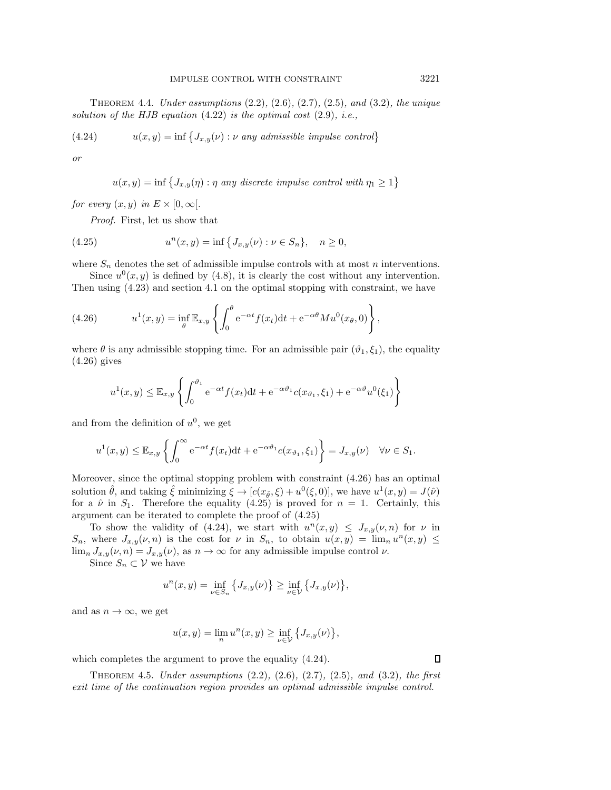Theorem 4.4. *Under assumptions* [\(2.2\)](#page-2-3)*,* [\(2.6\)](#page-3-4)*,* [\(2.7\)](#page-3-5)*,* [\(2.5\)](#page-3-2)*, and* [\(3.2\)](#page-8-0)*, the unique solution of the HJB equation* [\(4.22\)](#page-17-1) *is the optimal cost* [\(2.9\)](#page-3-0)*, i.e.,*

(4.24) 
$$
u(x,y) = \inf \{ J_{x,y}(\nu) : \nu \text{ any admissible impulse control} \}
$$

*or*

<span id="page-18-2"></span><span id="page-18-1"></span>
$$
u(x,y) = \inf \{ J_{x,y}(\eta) : \eta \text{ any discrete impulse control with } \eta_1 \ge 1 \}
$$

*for every*  $(x, y)$  *in*  $E \times [0, \infty)$ .

*Proof.* First, let us show that

(4.25) 
$$
u^{n}(x, y) = \inf \{ J_{x,y}(\nu) : \nu \in S_{n} \}, \quad n \ge 0,
$$

where  $S_n$  denotes the set of admissible impulse controls with at most n interventions.

Since  $u^0(x, y)$  is defined by [\(4.8\)](#page-14-1), it is clearly the cost without any intervention.

Then using 
$$
(4.23)
$$
 and section 4.1 on the optimal stopping with constraint, we have

<span id="page-18-0"></span>(4.26) 
$$
u^1(x,y) = \inf_{\theta} \mathbb{E}_{x,y} \left\{ \int_0^{\theta} e^{-\alpha t} f(x_t) dt + e^{-\alpha \theta} M u^0(x_{\theta},0) \right\},
$$

where  $\theta$  is any admissible stopping time. For an admissible pair  $(\vartheta_1, \xi_1)$ , the equality [\(4.26\)](#page-18-0) gives

$$
u^1(x,y) \leq \mathbb{E}_{x,y} \left\{ \int_0^{\vartheta_1} e^{-\alpha t} f(x_t) dt + e^{-\alpha \vartheta_1} c(x_{\vartheta_1}, \xi_1) + e^{-\alpha \vartheta} u^0(\xi_1) \right\}
$$

and from the definition of  $u^0$ , we get

$$
u^1(x,y) \leq \mathbb{E}_{x,y} \left\{ \int_0^\infty e^{-\alpha t} f(x_t) dt + e^{-\alpha \vartheta_1} c(x_{\vartheta_1}, \xi_1) \right\} = J_{x,y}(\nu) \quad \forall \nu \in S_1.
$$

Moreover, since the optimal stopping problem with constraint [\(4.26\)](#page-18-0) has an optimal solution  $\hat{\theta}$ , and taking  $\hat{\xi}$  minimizing  $\xi \to [c(x_{\hat{\theta}}, \xi) + u^0(\xi, 0)]$ , we have  $u^1(x, y) = J(\hat{\nu})$ for a  $\hat{\nu}$  in  $S_1$ . Therefore the equality [\(4.25\)](#page-18-1) is proved for  $n = 1$ . Certainly, this argument can be iterated to complete the proof of [\(4.25\)](#page-18-1)

To show the validity of [\(4.24\)](#page-18-2), we start with  $u^{n}(x, y) \leq J_{x,y}(\nu, n)$  for  $\nu$  in  $S_n$ , where  $J_{x,y}(\nu, n)$  is the cost for  $\nu$  in  $S_n$ , to obtain  $u(x, y) = \lim_n u^n(x, y) \leq$  $\lim_{n} J_{x,y}(\nu, n) = J_{x,y}(\nu)$ , as  $n \to \infty$  for any admissible impulse control  $\nu$ .

Since  $S_n \subset \mathcal{V}$  we have

$$
u^{n}(x, y) = \inf_{\nu \in S_{n}} \{J_{x, y}(\nu)\} \ge \inf_{\nu \in \mathcal{V}} \{J_{x, y}(\nu)\},\
$$

and as  $n \to \infty$ , we get

$$
u(x, y) = \lim_{n} u^{n}(x, y) \ge \inf_{\nu \in \mathcal{V}} \{J_{x,y}(\nu)\},\
$$

which completes the argument to prove the equality  $(4.24)$ .

Theorem 4.5. *Under assumptions* [\(2.2\)](#page-2-3)*,* [\(2.6\)](#page-3-4)*,* [\(2.7\)](#page-3-5)*,* [\(2.5\)](#page-3-2)*, and* [\(3.2\)](#page-8-0)*, the first exit time of the continuation region provides an optimal admissible impulse control.*

 $\Box$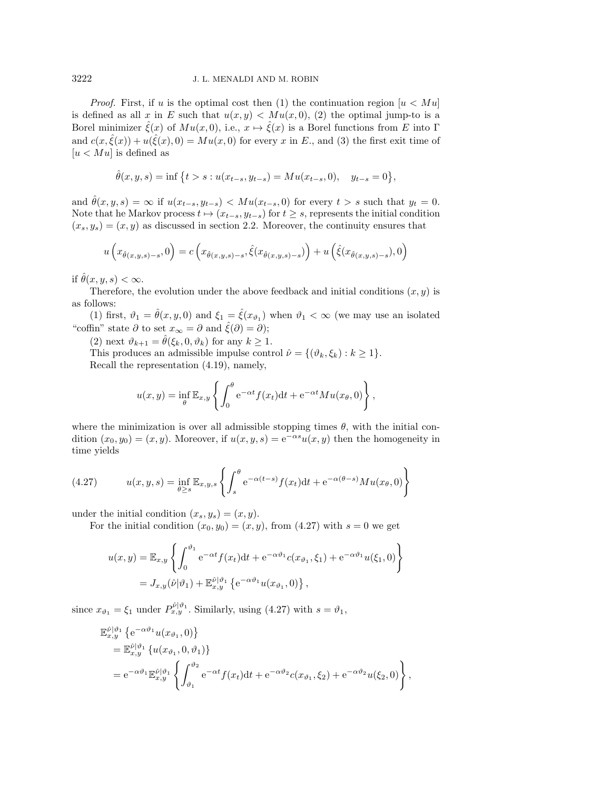*Proof.* First, if u is the optimal cost then (1) the continuation region  $|u \, \langle M u|$ is defined as all x in E such that  $u(x, y) < M u(x, 0)$ , (2) the optimal jump-to is a Borel minimizer  $\hat{\xi}(x)$  of  $Mu(x,0)$ , i.e.,  $x \mapsto \hat{\xi}(x)$  is a Borel functions from E into Γ and  $c(x,\hat{\xi}(x)) + u(\hat{\xi}(x),0) = Mu(x,0)$  for every x in E., and (3) the first exit time of  $[u < M u]$  is defined as

$$
\hat{\theta}(x, y, s) = \inf \{ t > s : u(x_{t-s}, y_{t-s}) = M u(x_{t-s}, 0), \quad y_{t-s} = 0 \},
$$

and  $\hat{\theta}(x, y, s) = \infty$  if  $u(x_{t-s}, y_{t-s}) < M u(x_{t-s}, 0)$  for every  $t > s$  such that  $y_t = 0$ . Note that he Markov process  $t \mapsto (x_{t-s}, y_{t-s})$  for  $t \geq s$ , represents the initial condition  $(x_s, y_s)=(x, y)$  as discussed in section [2.2.](#page-5-1) Moreover, the continuity ensures that

$$
u\left(x_{\hat{\theta}(x,y,s)-s},0\right) = c\left(x_{\hat{\theta}(x,y,s)-s},\hat{\xi}(x_{\hat{\theta}(x,y,s)-s})\right) + u\left(\hat{\xi}(x_{\hat{\theta}(x,y,s)-s}),0\right)
$$

if  $\hat{\theta}(x, y, s) < \infty$ .

Therefore, the evolution under the above feedback and initial conditions  $(x, y)$  is as follows:

(1) first,  $\vartheta_1 = \hat{\theta}(x, y, 0)$  and  $\xi_1 = \hat{\xi}(x_{\vartheta_1})$  when  $\vartheta_1 < \infty$  (we may use an isolated "coffin" state  $\partial$  to set  $x_{\infty} = \partial$  and  $\hat{\xi}(\partial) = \partial$ );

(2) next  $\vartheta_{k+1} = \hat{\theta}(\xi_k, 0, \vartheta_k)$  for any  $k \geq 1$ .

This produces an admissible impulse control  $\hat{\nu} = \{(\vartheta_k, \xi_k) : k \geq 1\}.$ Recall the representation [\(4.19\)](#page-17-4), namely,

$$
u(x,y) = \inf_{\theta} \mathbb{E}_{x,y} \left\{ \int_0^{\theta} e^{-\alpha t} f(x_t) dt + e^{-\alpha t} M u(x_{\theta},0) \right\},\,
$$

where the minimization is over all admissible stopping times  $\theta$ , with the initial condition  $(x_0, y_0)=(x, y)$ . Moreover, if  $u(x, y, s)=e^{-\alpha s}u(x, y)$  then the homogeneity in time yields

<span id="page-19-0"></span>(4.27) 
$$
u(x,y,s) = \inf_{\theta \ge s} \mathbb{E}_{x,y,s} \left\{ \int_s^{\theta} e^{-\alpha(t-s)} f(x_t) dt + e^{-\alpha(\theta-s)} M u(x_{\theta},0) \right\}
$$

under the initial condition  $(x_s, y_s)=(x, y)$ .

For the initial condition  $(x_0, y_0)=(x, y)$ , from  $(4.27)$  with  $s=0$  we get

$$
u(x,y) = \mathbb{E}_{x,y} \left\{ \int_0^{\vartheta_1} e^{-\alpha t} f(x_t) dt + e^{-\alpha \vartheta_1} c(x_{\vartheta_1}, \xi_1) + e^{-\alpha \vartheta_1} u(\xi_1, 0) \right\}
$$
  
=  $J_{x,y}(\hat{\nu}|\vartheta_1) + \mathbb{E}_{x,y}^{\hat{\nu}|\vartheta_1} \left\{ e^{-\alpha \vartheta_1} u(x_{\vartheta_1}, 0) \right\},$ 

since  $x_{\vartheta_1} = \xi_1$  under  $P_{x,y}^{\hat{\nu}|\vartheta_1}$ . Similarly, using [\(4.27\)](#page-19-0) with  $s = \vartheta_1$ ,

$$
\mathbb{E}_{x,y}^{\hat{\nu}|\vartheta_1} \left\{ e^{-\alpha \vartheta_1} u(x_{\vartheta_1}, 0) \right\} \n= \mathbb{E}_{x,y}^{\hat{\nu}|\vartheta_1} \left\{ u(x_{\vartheta_1}, 0, \vartheta_1) \right\} \n= e^{-\alpha \vartheta_1} \mathbb{E}_{x,y}^{\hat{\nu}|\vartheta_1} \left\{ \int_{\vartheta_1}^{\vartheta_2} e^{-\alpha t} f(x_t) dt + e^{-\alpha \vartheta_2} c(x_{\vartheta_1}, \xi_2) + e^{-\alpha \vartheta_2} u(\xi_2, 0) \right\},
$$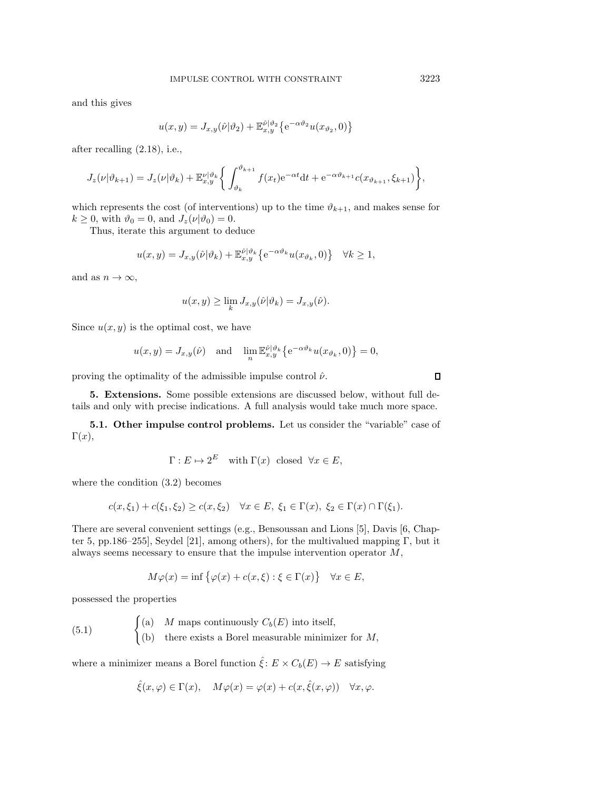and this gives

$$
u(x,y) = J_{x,y}(\hat{\nu}|\vartheta_2) + \mathbb{E}_{x,y}^{\hat{\nu}|\vartheta_2} \left\{ e^{-\alpha \vartheta_2} u(x_{\vartheta_2},0) \right\}
$$

after recalling [\(2.18\)](#page-7-1), i.e.,

$$
J_z(\nu|\vartheta_{k+1}) = J_z(\nu|\vartheta_k) + \mathbb{E}_{x,y}^{\nu|\vartheta_k} \bigg\{ \int_{\vartheta_k}^{\vartheta_{k+1}} f(x_t) e^{-\alpha t} dt + e^{-\alpha \vartheta_{k+1}} c(x_{\vartheta_{k+1}}, \xi_{k+1}) \bigg\},
$$

which represents the cost (of interventions) up to the time  $\vartheta_{k+1}$ , and makes sense for  $k \geq 0$ , with  $\vartheta_0 = 0$ , and  $J_z(\nu|\vartheta_0) = 0$ .

Thus, iterate this argument to deduce

$$
u(x,y) = J_{x,y}(\hat{\nu}|\vartheta_k) + \mathbb{E}_{x,y}^{\hat{\nu}|\vartheta_k} \left\{ e^{-\alpha \vartheta_k} u(x_{\vartheta_k}, 0) \right\} \quad \forall k \ge 1,
$$

and as  $n \to \infty$ ,

$$
u(x,y) \ge \lim_{k} J_{x,y}(\hat{\nu}|\vartheta_k) = J_{x,y}(\hat{\nu}).
$$

Since  $u(x, y)$  is the optimal cost, we have

$$
u(x,y) = J_{x,y}(\hat{\nu})
$$
 and  $\lim_{n} \mathbb{E}_{x,y}^{\hat{\nu}|\vartheta_k} \{ e^{-\alpha \vartheta_k} u(x_{\vartheta_k}, 0) \} = 0$ ,

<span id="page-20-0"></span>proving the optimality of the admissible impulse control  $\hat{\nu}$ .

**5. Extensions.** Some possible extensions are discussed below, without full details and only with precise indications. A full analysis would take much more space.

**5.1. Other impulse control problems.** Let us consider the "variable" case of  $\Gamma(x),$ 

$$
\Gamma: E \mapsto 2^E \quad \text{with } \Gamma(x) \text{ closed } \forall x \in E,
$$

where the condition [\(3.2\)](#page-8-0) becomes

$$
c(x,\xi_1) + c(\xi_1,\xi_2) \ge c(x,\xi_2) \quad \forall x \in E, \ \xi_1 \in \Gamma(x), \ \xi_2 \in \Gamma(x) \cap \Gamma(\xi_1).
$$

There are several convenient settings (e.g., Bensoussan and Lions [\[5\]](#page-22-2), Davis [\[6,](#page-22-5) Chap-ter 5, pp.186–255], Seydel [\[21\]](#page-22-17), among others), for the multivalued mapping Γ, but it always seems necessary to ensure that the impulse intervention operator  $M$ ,

<span id="page-20-1"></span>
$$
M\varphi(x) = \inf \{ \varphi(x) + c(x,\xi) : \xi \in \Gamma(x) \} \quad \forall x \in E,
$$

possessed the properties

(5.1) 
$$
\begin{cases}\n(a) & M \text{ maps continuously } C_b(E) \text{ into itself,} \\
(b) & \text{there exists a Borel measurable minimizer for } M,\n\end{cases}
$$

where a minimizer means a Borel function  $\hat{\xi} : E \times C_b(E) \to E$  satisfying

$$
\hat{\xi}(x,\varphi) \in \Gamma(x), \quad M\varphi(x) = \varphi(x) + c(x,\hat{\xi}(x,\varphi)) \quad \forall x,\varphi.
$$

 $\Box$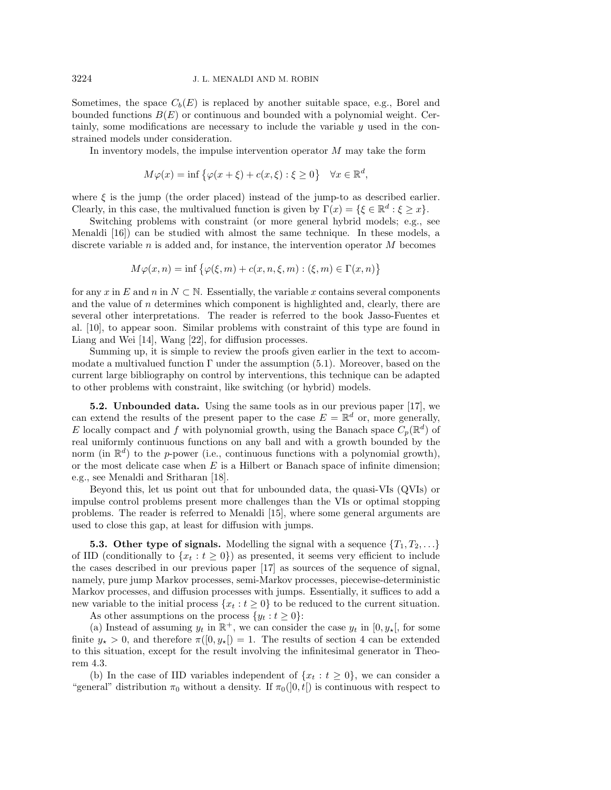Sometimes, the space  $C_b(E)$  is replaced by another suitable space, e.g., Borel and bounded functions  $B(E)$  or continuous and bounded with a polynomial weight. Certainly, some modifications are necessary to include the variable y used in the constrained models under consideration.

In inventory models, the impulse intervention operator M may take the form

$$
M\varphi(x) = \inf \{ \varphi(x+\xi) + c(x,\xi) : \xi \ge 0 \} \quad \forall x \in \mathbb{R}^d,
$$

where  $\xi$  is the jump (the order placed) instead of the jump-to as described earlier. Clearly, in this case, the multivalued function is given by  $\Gamma(x) = \{\xi \in \mathbb{R}^d : \xi \geq x\}.$ 

Switching problems with constraint (or more general hybrid models; e.g., see Menaldi [\[16\]](#page-22-18)) can be studied with almost the same technique. In these models, a discrete variable  $n$  is added and, for instance, the intervention operator  $M$  becomes

$$
M\varphi(x,n) = \inf \{ \varphi(\xi,m) + c(x,n,\xi,m) : (\xi,m) \in \Gamma(x,n) \}
$$

for any x in E and n in  $N \subset \mathbb{N}$ . Essentially, the variable x contains several components and the value of  $n$  determines which component is highlighted and, clearly, there are several other interpretations. The reader is referred to the book Jasso-Fuentes et al. [\[10\]](#page-22-19), to appear soon. Similar problems with constraint of this type are found in Liang and Wei [\[14\]](#page-22-10), Wang [\[22\]](#page-22-11), for diffusion processes.

Summing up, it is simple to review the proofs given earlier in the text to accommodate a multivalued function  $\Gamma$  under the assumption [\(5.1\)](#page-20-1). Moreover, based on the current large bibliography on control by interventions, this technique can be adapted to other problems with constraint, like switching (or hybrid) models.

**5.2. Unbounded data.** Using the same tools as in our previous paper [\[17\]](#page-22-8), we can extend the results of the present paper to the case  $E = \mathbb{R}^d$  or, more generally, E locally compact and f with polynomial growth, using the Banach space  $C_p(\mathbb{R}^d)$  of real uniformly continuous functions on any ball and with a growth bounded by the norm (in  $\mathbb{R}^d$ ) to the p-power (i.e., continuous functions with a polynomial growth), or the most delicate case when  $E$  is a Hilbert or Banach space of infinite dimension; e.g., see Menaldi and Sritharan [\[18\]](#page-22-20).

Beyond this, let us point out that for unbounded data, the quasi-VIs (QVIs) or impulse control problems present more challenges than the VIs or optimal stopping problems. The reader is referred to Menaldi [\[15\]](#page-22-21), where some general arguments are used to close this gap, at least for diffusion with jumps.

**5.3. Other type of signals.** Modelling the signal with a sequence  $\{T_1, T_2, \ldots\}$ of IID (conditionally to  $\{x_t : t \geq 0\}$ ) as presented, it seems very efficient to include the cases described in our previous paper [\[17\]](#page-22-8) as sources of the sequence of signal, namely, pure jump Markov processes, semi-Markov processes, piecewise-deterministic Markov processes, and diffusion processes with jumps. Essentially, it suffices to add a new variable to the initial process  $\{x_t : t \geq 0\}$  to be reduced to the current situation.

As other assumptions on the process  $\{y_t : t \geq 0\}$ :

(a) Instead of assuming  $y_t$  in  $\mathbb{R}^+$ , we can consider the case  $y_t$  in  $[0, y_*]$ , for some finite  $y_{\star} > 0$ , and therefore  $\pi([0, y_{\star}]) = 1$ . The results of section [4](#page-13-0) can be extended to this situation, except for the result involving the infinitesimal generator in Theorem [4.3.](#page-16-1)

(b) In the case of IID variables independent of  $\{x_t : t \geq 0\}$ , we can consider a "general" distribution  $\pi_0$  without a density. If  $\pi_0([0, t])$  is continuous with respect to